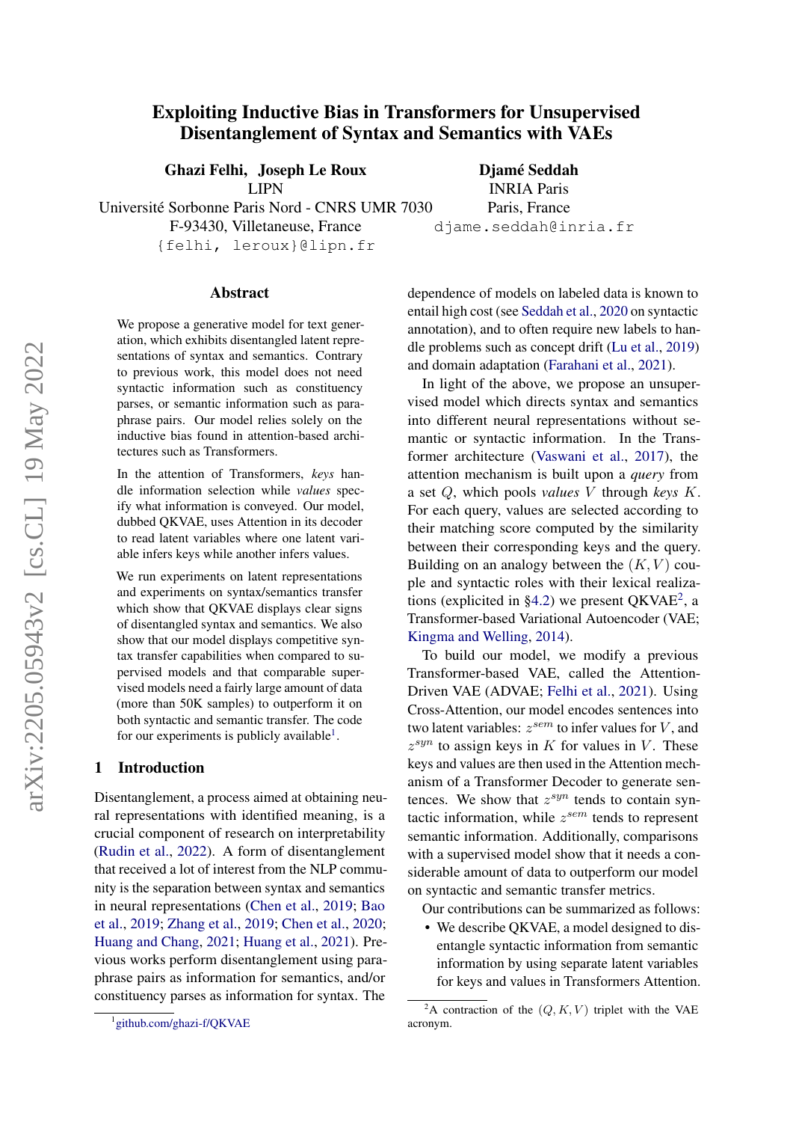# Exploiting Inductive Bias in Transformers for Unsupervised Disentanglement of Syntax and Semantics with VAEs

Ghazi Felhi, Joseph Le Roux

LIPN

Djamé Seddah INRIA Paris Paris, France djame.seddah@inria.fr

Université Sorbonne Paris Nord - CNRS UMR 7030 F-93430, Villetaneuse, France {felhi, leroux}@lipn.fr

#### Abstract

We propose a generative model for text generation, which exhibits disentangled latent representations of syntax and semantics. Contrary to previous work, this model does not need syntactic information such as constituency parses, or semantic information such as paraphrase pairs. Our model relies solely on the inductive bias found in attention-based architectures such as Transformers.

In the attention of Transformers, *keys* handle information selection while *values* specify what information is conveyed. Our model, dubbed QKVAE, uses Attention in its decoder to read latent variables where one latent variable infers keys while another infers values.

We run experiments on latent representations and experiments on syntax/semantics transfer which show that OKVAE displays clear signs of disentangled syntax and semantics. We also show that our model displays competitive syntax transfer capabilities when compared to supervised models and that comparable supervised models need a fairly large amount of data (more than 50K samples) to outperform it on both syntactic and semantic transfer. The code for our experiments is publicly available<sup>[1](#page-0-0)</sup>.

#### 1 Introduction

Disentanglement, a process aimed at obtaining neural representations with identified meaning, is a crucial component of research on interpretability [\(Rudin et al.,](#page-11-0) [2022\)](#page-11-0). A form of disentanglement that received a lot of interest from the NLP community is the separation between syntax and semantics in neural representations [\(Chen et al.,](#page-8-0) [2019;](#page-8-0) [Bao](#page-8-1) [et al.,](#page-8-1) [2019;](#page-8-1) [Zhang et al.,](#page-11-1) [2019;](#page-11-1) [Chen et al.,](#page-9-0) [2020;](#page-9-0) [Huang and Chang,](#page-9-1) [2021;](#page-9-1) [Huang et al.,](#page-9-2) [2021\)](#page-9-2). Previous works perform disentanglement using paraphrase pairs as information for semantics, and/or constituency parses as information for syntax. The

dependence of models on labeled data is known to entail high cost (see [Seddah et al.,](#page-11-2) [2020](#page-11-2) on syntactic annotation), and to often require new labels to handle problems such as concept drift [\(Lu et al.,](#page-10-0) [2019\)](#page-10-0) and domain adaptation [\(Farahani et al.,](#page-9-3) [2021\)](#page-9-3).

In light of the above, we propose an unsupervised model which directs syntax and semantics into different neural representations without semantic or syntactic information. In the Transformer architecture [\(Vaswani et al.,](#page-11-3) [2017\)](#page-11-3), the attention mechanism is built upon a *query* from a set Q, which pools *values* V through *keys* K. For each query, values are selected according to their matching score computed by the similarity between their corresponding keys and the query. Building on an analogy between the  $(K, V)$  couple and syntactic roles with their lexical realiza-tions (explicited in [§4.2\)](#page-3-0) we present QKVAE<sup>[2](#page-0-1)</sup>, a Transformer-based Variational Autoencoder (VAE; [Kingma and Welling,](#page-10-1) [2014\)](#page-10-1).

To build our model, we modify a previous Transformer-based VAE, called the Attention-Driven VAE (ADVAE; [Felhi et al.,](#page-9-4) [2021\)](#page-9-4). Using Cross-Attention, our model encodes sentences into two latent variables:  $z^{sem}$  to infer values for  $V$ , and  $z^{syn}$  to assign keys in  $K$  for values in  $V$ . These keys and values are then used in the Attention mechanism of a Transformer Decoder to generate sentences. We show that  $z^{syn}$  tends to contain syntactic information, while  $z^{sem}$  tends to represent semantic information. Additionally, comparisons with a supervised model show that it needs a considerable amount of data to outperform our model on syntactic and semantic transfer metrics.

Our contributions can be summarized as follows:

• We describe QKVAE, a model designed to disentangle syntactic information from semantic information by using separate latent variables for keys and values in Transformers Attention.

<span id="page-0-0"></span><sup>1</sup> [github.com/ghazi-f/QKVAE](https://github.com/ghazi-f/QKVAE)

<span id="page-0-1"></span><sup>&</sup>lt;sup>2</sup>A contraction of the  $(Q, K, V)$  triplet with the VAE acronym.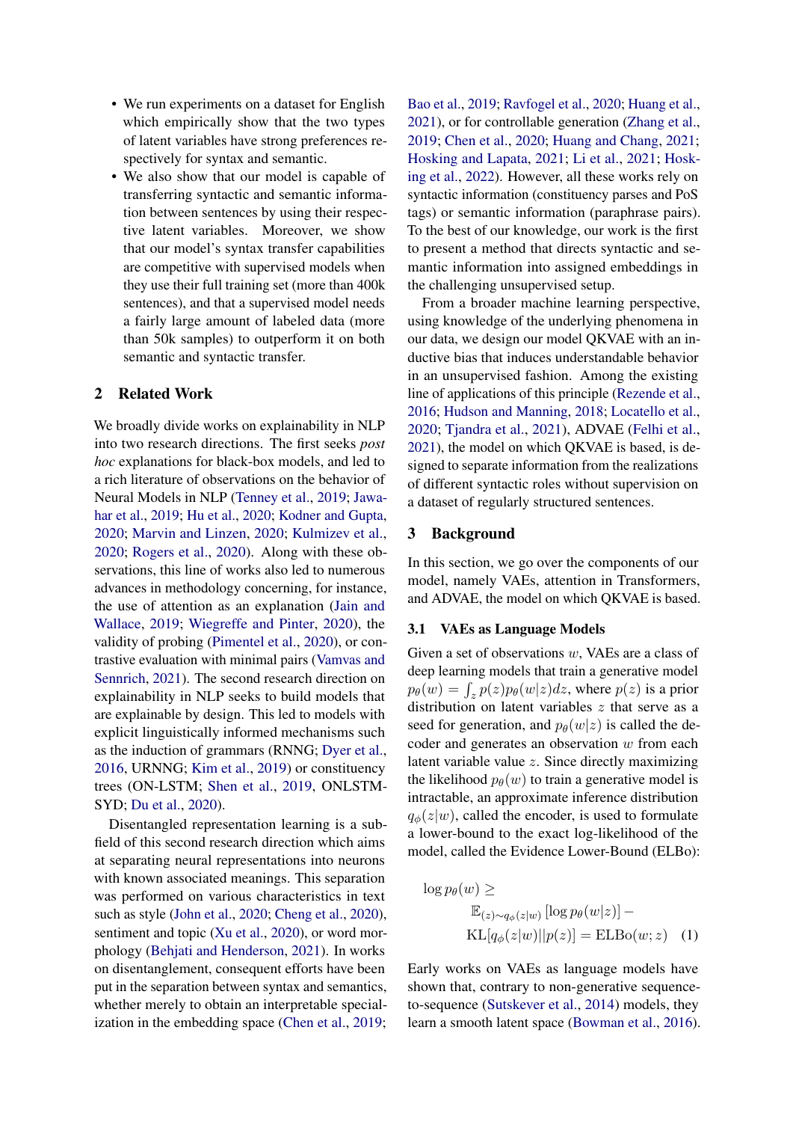- We run experiments on a dataset for English which empirically show that the two types of latent variables have strong preferences respectively for syntax and semantic.
- We also show that our model is capable of transferring syntactic and semantic information between sentences by using their respective latent variables. Moreover, we show that our model's syntax transfer capabilities are competitive with supervised models when they use their full training set (more than 400k sentences), and that a supervised model needs a fairly large amount of labeled data (more than 50k samples) to outperform it on both semantic and syntactic transfer.

## 2 Related Work

We broadly divide works on explainability in NLP into two research directions. The first seeks *post hoc* explanations for black-box models, and led to a rich literature of observations on the behavior of Neural Models in NLP [\(Tenney et al.,](#page-11-4) [2019;](#page-11-4) [Jawa](#page-10-2)[har et al.,](#page-10-2) [2019;](#page-10-2) [Hu et al.,](#page-9-5) [2020;](#page-9-5) [Kodner and Gupta,](#page-10-3) [2020;](#page-10-3) [Marvin and Linzen,](#page-10-4) [2020;](#page-10-4) [Kulmizev et al.,](#page-10-5) [2020;](#page-10-5) [Rogers et al.,](#page-11-5) [2020\)](#page-11-5). Along with these observations, this line of works also led to numerous advances in methodology concerning, for instance, the use of attention as an explanation [\(Jain and](#page-10-6) [Wallace,](#page-10-6) [2019;](#page-10-6) [Wiegreffe and Pinter,](#page-11-6) [2020\)](#page-11-6), the validity of probing [\(Pimentel et al.,](#page-11-7) [2020\)](#page-11-7), or contrastive evaluation with minimal pairs [\(Vamvas and](#page-11-8) [Sennrich,](#page-11-8) [2021\)](#page-11-8). The second research direction on explainability in NLP seeks to build models that are explainable by design. This led to models with explicit linguistically informed mechanisms such as the induction of grammars (RNNG; [Dyer et al.,](#page-9-6) [2016,](#page-9-6) URNNG; [Kim et al.,](#page-10-7) [2019\)](#page-10-7) or constituency trees (ON-LSTM; [Shen et al.,](#page-11-9) [2019,](#page-11-9) ONLSTM-SYD; [Du et al.,](#page-9-7) [2020\)](#page-9-7).

Disentangled representation learning is a subfield of this second research direction which aims at separating neural representations into neurons with known associated meanings. This separation was performed on various characteristics in text such as style [\(John et al.,](#page-10-8) [2020;](#page-10-8) [Cheng et al.,](#page-9-8) [2020\)](#page-9-8), sentiment and topic [\(Xu et al.,](#page-11-10) [2020\)](#page-11-10), or word morphology [\(Behjati and Henderson,](#page-8-2) [2021\)](#page-8-2). In works on disentanglement, consequent efforts have been put in the separation between syntax and semantics, whether merely to obtain an interpretable specialization in the embedding space [\(Chen et al.,](#page-8-0) [2019;](#page-8-0)

[Bao et al.,](#page-8-1) [2019;](#page-8-1) [Ravfogel et al.,](#page-11-11) [2020;](#page-11-11) [Huang et al.,](#page-9-2) [2021\)](#page-9-2), or for controllable generation [\(Zhang et al.,](#page-11-1) [2019;](#page-11-1) [Chen et al.,](#page-9-0) [2020;](#page-9-0) [Huang and Chang,](#page-9-1) [2021;](#page-9-1) [Hosking and Lapata,](#page-9-9) [2021;](#page-9-9) [Li et al.,](#page-10-9) [2021;](#page-10-9) [Hosk](#page-9-10)[ing et al.,](#page-9-10) [2022\)](#page-9-10). However, all these works rely on syntactic information (constituency parses and PoS tags) or semantic information (paraphrase pairs). To the best of our knowledge, our work is the first to present a method that directs syntactic and semantic information into assigned embeddings in the challenging unsupervised setup.

From a broader machine learning perspective, using knowledge of the underlying phenomena in our data, we design our model QKVAE with an inductive bias that induces understandable behavior in an unsupervised fashion. Among the existing line of applications of this principle [\(Rezende et al.,](#page-11-12) [2016;](#page-11-12) [Hudson and Manning,](#page-9-11) [2018;](#page-9-11) [Locatello et al.,](#page-10-10) [2020;](#page-10-10) [Tjandra et al.,](#page-11-13) [2021\)](#page-11-13), ADVAE [\(Felhi et al.,](#page-9-4) [2021\)](#page-9-4), the model on which QKVAE is based, is designed to separate information from the realizations of different syntactic roles without supervision on a dataset of regularly structured sentences.

#### 3 Background

In this section, we go over the components of our model, namely VAEs, attention in Transformers, and ADVAE, the model on which QKVAE is based.

#### 3.1 VAEs as Language Models

Given a set of observations w, VAEs are a class of deep learning models that train a generative model  $p_{\theta}(w) = \int_{z} p(z) p_{\theta}(w|z) dz$ , where  $p(z)$  is a prior distribution on latent variables z that serve as a seed for generation, and  $p_{\theta}(w|z)$  is called the decoder and generates an observation  $w$  from each latent variable value z. Since directly maximizing the likelihood  $p_{\theta}(w)$  to train a generative model is intractable, an approximate inference distribution  $q_{\phi}(z|w)$ , called the encoder, is used to formulate a lower-bound to the exact log-likelihood of the model, called the Evidence Lower-Bound (ELBo):

<span id="page-1-0"></span>
$$
\log p_{\theta}(w) \ge \mathbb{E}_{(z) \sim q_{\phi}(z|w)} [\log p_{\theta}(w|z)] - \mathbb{K} \mathbb{L}[q_{\phi}(z|w)||p(z)] = \mathbb{E} \mathbb{L} \mathbb{B} \mathbf{o}(w; z)
$$
 (1)

Early works on VAEs as language models have shown that, contrary to non-generative sequenceto-sequence [\(Sutskever et al.,](#page-11-14) [2014\)](#page-11-14) models, they learn a smooth latent space [\(Bowman et al.,](#page-8-3) [2016\)](#page-8-3).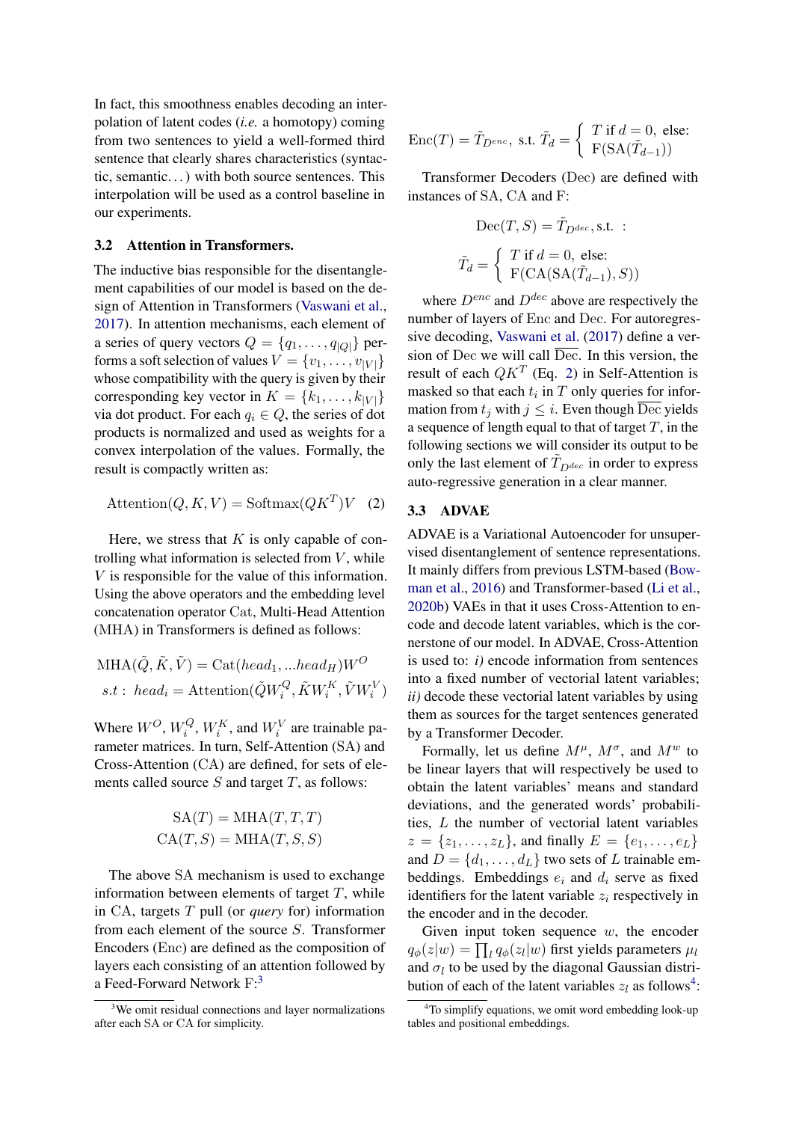In fact, this smoothness enables decoding an interpolation of latent codes (*i.e.* a homotopy) coming from two sentences to yield a well-formed third sentence that clearly shares characteristics (syntactic, semantic. . . ) with both source sentences. This interpolation will be used as a control baseline in our experiments.

#### 3.2 Attention in Transformers.

The inductive bias responsible for the disentanglement capabilities of our model is based on the design of Attention in Transformers [\(Vaswani et al.,](#page-11-3) [2017\)](#page-11-3). In attention mechanisms, each element of a series of query vectors  $Q = \{q_1, \ldots, q_{|Q|}\}\$  performs a soft selection of values  $V = \{v_1, \ldots, v_{|V|}\}\$ whose compatibility with the query is given by their corresponding key vector in  $K = \{k_1, \ldots, k_{|V|}\}\$ via dot product. For each  $q_i \in Q$ , the series of dot products is normalized and used as weights for a convex interpolation of the values. Formally, the result is compactly written as:

$$
Attention(Q, K, V) = Softmax(QKT)V (2)
$$

Here, we stress that  $K$  is only capable of controlling what information is selected from  $V$ , while V is responsible for the value of this information. Using the above operators and the embedding level concatenation operator Cat, Multi-Head Attention (MHA) in Transformers is defined as follows:

$$
MHA(\tilde{Q}, \tilde{K}, \tilde{V}) = Cat(head_1, ...head_H)W^O
$$
  
s.t : head<sub>i</sub> = Attention( $\tilde{Q}W_i^Q, \tilde{K}W_i^K, \tilde{V}W_i^V$ )

Where  $W^O$ ,  $W_i^Q$  $i<sup>Q</sup>$ ,  $W_i<sup>K</sup>$ , and  $W_i<sup>V</sup>$  are trainable parameter matrices. In turn, Self-Attention (SA) and Cross-Attention (CA) are defined, for sets of elements called source  $S$  and target  $T$ , as follows:

$$
SA(T) = MHA(T, T, T)
$$

$$
CA(T, S) = MHA(T, S, S)
$$

The above SA mechanism is used to exchange information between elements of target  $T$ , while in CA, targets T pull (or *query* for) information from each element of the source S. Transformer Encoders (Enc) are defined as the composition of layers each consisting of an attention followed by a Feed-Forward Network F:<sup>[3](#page-2-0)</sup>

$$
\text{Enc}(T) = \tilde{T}_{D^{enc}}, \text{ s.t. } \tilde{T}_d = \left\{ \begin{array}{l} T \text{ if } d = 0, \text{ else:} \\ \text{F}(\text{SA}(\tilde{T}_{d-1})) \end{array} \right.
$$

Transformer Decoders (Dec) are defined with instances of SA, CA and F:

$$
\text{Dec}(T, S) = \tilde{T}_{D^{dec}}, \text{s.t.} : \n\tilde{T}_d = \left\{ \begin{array}{l} T \text{ if } d = 0, \text{ else:} \\ \text{F(CA}(SA(\tilde{T}_{d-1}), S)) \end{array} \right.
$$

where  $D^{enc}$  and  $D^{dec}$  above are respectively the number of layers of Enc and Dec. For autoregressive decoding, [Vaswani et al.](#page-11-3) [\(2017\)](#page-11-3) define a version of Dec we will call  $\overline{Dec}$ . In this version, the result of each  $QK<sup>T</sup>$  (Eq. [2\)](#page-2-1) in Self-Attention is masked so that each  $t_i$  in  $T$  only queries for information from  $t_j$  with  $j \leq i$ . Even though  $\overline{Dec}$  yields a sequence of length equal to that of target  $T$ , in the following sections we will consider its output to be only the last element of  $\tilde{T}_{D^{dec}}$  in order to express auto-regressive generation in a clear manner.

#### <span id="page-2-1"></span>3.3 ADVAE

ADVAE is a Variational Autoencoder for unsupervised disentanglement of sentence representations. It mainly differs from previous LSTM-based [\(Bow](#page-8-3)[man et al.,](#page-8-3) [2016\)](#page-8-3) and Transformer-based [\(Li et al.,](#page-10-11) [2020b\)](#page-10-11) VAEs in that it uses Cross-Attention to encode and decode latent variables, which is the cornerstone of our model. In ADVAE, Cross-Attention is used to: *i)* encode information from sentences into a fixed number of vectorial latent variables; *ii)* decode these vectorial latent variables by using them as sources for the target sentences generated by a Transformer Decoder.

Formally, let us define  $M^{\mu}$ ,  $M^{\sigma}$ , and  $M^w$  to be linear layers that will respectively be used to obtain the latent variables' means and standard deviations, and the generated words' probabilities, L the number of vectorial latent variables  $z = \{z_1, \ldots, z_L\}$ , and finally  $E = \{e_1, \ldots, e_L\}$ and  $D = \{d_1, \ldots, d_L\}$  two sets of L trainable embeddings. Embeddings  $e_i$  and  $d_i$  serve as fixed identifiers for the latent variable  $z_i$  respectively in the encoder and in the decoder.

Given input token sequence  $w$ , the encoder  $q_{\phi}(z|w) = \prod_{l} q_{\phi}(z_l|w)$  first yields parameters  $\mu_l$ and  $\sigma_l$  to be used by the diagonal Gaussian distribution of each of the latent variables  $z_l$  as follows<sup>[4](#page-2-2)</sup>:

<span id="page-2-0"></span><sup>&</sup>lt;sup>3</sup>We omit residual connections and layer normalizations after each SA or CA for simplicity.

<span id="page-2-2"></span><sup>&</sup>lt;sup>4</sup>To simplify equations, we omit word embedding look-up tables and positional embeddings.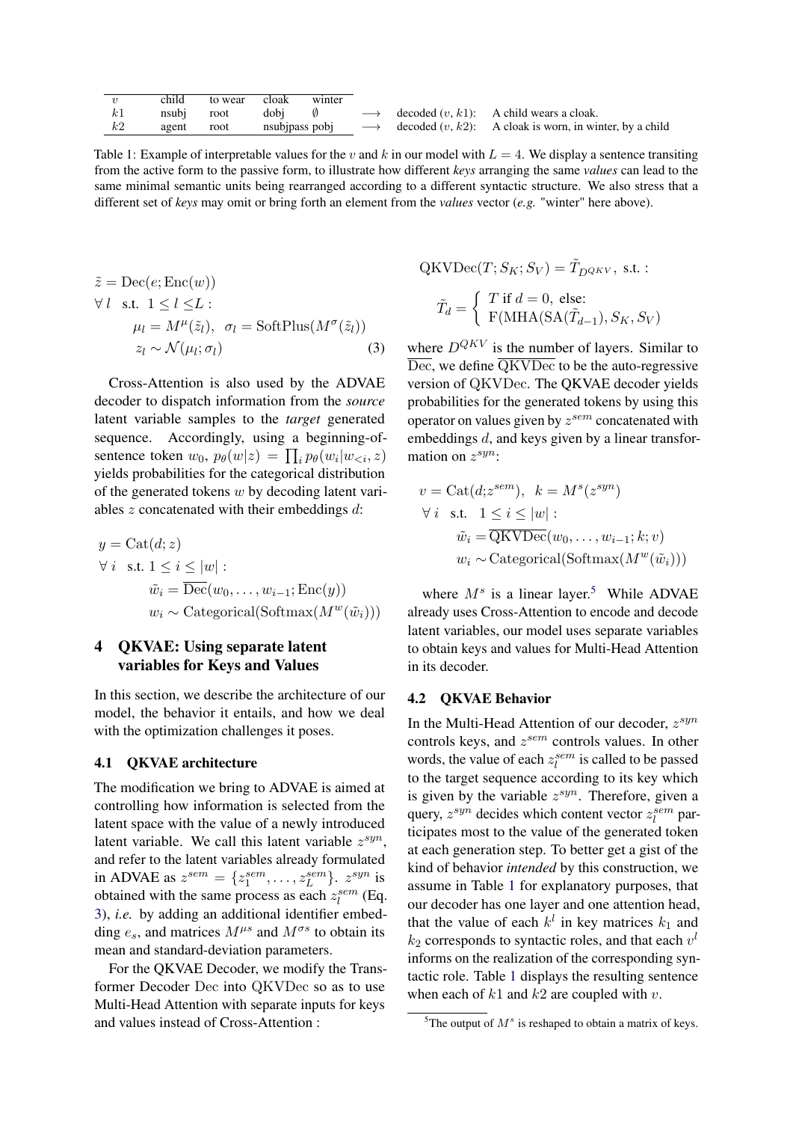<span id="page-3-3"></span>

| $\boldsymbol{v}$ | child | to wear | cloak          | winter |  |                                                                              |
|------------------|-------|---------|----------------|--------|--|------------------------------------------------------------------------------|
| k1               | nsubi | root    |                |        |  | dobj $\emptyset \longrightarrow$ decoded $(v, k1)$ : A child wears a cloak.  |
| k2               | agent | root    | nsubjpass pobj |        |  | $\longrightarrow$ decoded $(v, k2)$ : A cloak is worn, in winter, by a child |

Table 1: Example of interpretable values for the v and k in our model with  $L = 4$ . We display a sentence transiting from the active form to the passive form, to illustrate how different *keys* arranging the same *values* can lead to the same minimal semantic units being rearranged according to a different syntactic structure. We also stress that a different set of *keys* may omit or bring forth an element from the *values* vector (*e.g.* "winter" here above).

$$
\tilde{z} = \text{Dec}(e; \text{Enc}(w))
$$
  
\n
$$
\forall l \text{ s.t. } 1 \le l \le L :
$$
  
\n
$$
\mu_l = M^{\mu}(\tilde{z}_l), \ \sigma_l = \text{SoftPlus}(M^{\sigma}(\tilde{z}_l))
$$
  
\n
$$
z_l \sim \mathcal{N}(\mu_l; \sigma_l)
$$
 (3)

Cross-Attention is also used by the ADVAE decoder to dispatch information from the *source* latent variable samples to the *target* generated sequence. Accordingly, using a beginning-ofsentence token  $w_0$ ,  $p_\theta(w|z) = \prod_i p_\theta(w_i|w_{\leq i}, z)$ yields probabilities for the categorical distribution of the generated tokens  $w$  by decoding latent variables  $z$  concatenated with their embeddings  $d$ :

$$
y = \text{Cat}(d; z)
$$
  
\n
$$
\forall i \text{ s.t. } 1 \leq i \leq |w|:
$$
  
\n
$$
\tilde{w}_i = \overline{\text{Dec}}(w_0, \dots, w_{i-1}; \text{Enc}(y))
$$
  
\n
$$
w_i \sim \text{Categorical}(\text{Softmax}(M^w(\tilde{w}_i)))
$$

# 4 QKVAE: Using separate latent variables for Keys and Values

In this section, we describe the architecture of our model, the behavior it entails, and how we deal with the optimization challenges it poses.

## 4.1 QKVAE architecture

The modification we bring to ADVAE is aimed at controlling how information is selected from the latent space with the value of a newly introduced latent variable. We call this latent variable  $z^{syn}$ , and refer to the latent variables already formulated in ADVAE as  $z^{sem} = \{z_1^{sem}, \ldots, z_L^{sem}\}$ .  $z^{syn}$  is obtained with the same process as each  $z_l^{sem}$  (Eq. [3\)](#page-3-1), *i.e.* by adding an additional identifier embedding  $e_s$ , and matrices  $M^{\mu s}$  and  $M^{\sigma s}$  to obtain its mean and standard-deviation parameters.

For the QKVAE Decoder, we modify the Transformer Decoder Dec into QKVDec so as to use Multi-Head Attention with separate inputs for keys and values instead of Cross-Attention :

 $\mathrm{QKVDec}(T;S_K;S_V) = \tilde{T}_{D^{QKV}}$ , s.t. :

$$
\tilde{T}_d = \begin{cases}\nT \text{ if } d = 0, \text{ else:} \\
F(\text{MHA}(\text{SA}(\tilde{T}_{d-1}), S_K, S_V))\n\end{cases}
$$

<span id="page-3-1"></span>where  $D^{QKV}$  is the number of layers. Similar to  $\overline{\text{Dec}}$ , we define  $\overline{\text{QKVDec}}$  to be the auto-regressive version of QKVDec. The QKVAE decoder yields probabilities for the generated tokens by using this operator on values given by  $z^{sem}$  concatenated with embeddings d, and keys given by a linear transformation on  $z^{syn}$ :

$$
v = \text{Cat}(d; z^{sem}), \quad k = M^{s}(z^{syn})
$$
  
\n
$$
\forall i \quad \text{s.t.} \quad 1 \leq i \leq |w|:
$$
  
\n
$$
\tilde{w}_{i} = \overline{\text{QKVDec}}(w_{0}, \dots, w_{i-1}; k; v)
$$
  
\n
$$
w_{i} \sim \text{Categorical}(\text{Softmax}(M^{w}(\tilde{w}_{i})))
$$

where  $M<sup>s</sup>$  is a linear layer.<sup>[5](#page-3-2)</sup> While ADVAE already uses Cross-Attention to encode and decode latent variables, our model uses separate variables to obtain keys and values for Multi-Head Attention in its decoder.

## <span id="page-3-0"></span>4.2 QKVAE Behavior

In the Multi-Head Attention of our decoder,  $z^{syn}$ controls keys, and  $z^{sem}$  controls values. In other words, the value of each  $z_i^{sem}$  is called to be passed to the target sequence according to its key which is given by the variable  $z^{syn}$ . Therefore, given a query,  $z^{syn}$  decides which content vector  $z_l^{sem}$  participates most to the value of the generated token at each generation step. To better get a gist of the kind of behavior *intended* by this construction, we assume in Table [1](#page-3-3) for explanatory purposes, that our decoder has one layer and one attention head, that the value of each  $k^l$  in key matrices  $k_1$  and  $k_2$  corresponds to syntactic roles, and that each  $v^l$ informs on the realization of the corresponding syntactic role. Table [1](#page-3-3) displays the resulting sentence when each of  $k1$  and  $k2$  are coupled with v.

<span id="page-3-2"></span><sup>&</sup>lt;sup>5</sup>The output of  $M<sup>s</sup>$  is reshaped to obtain a matrix of keys.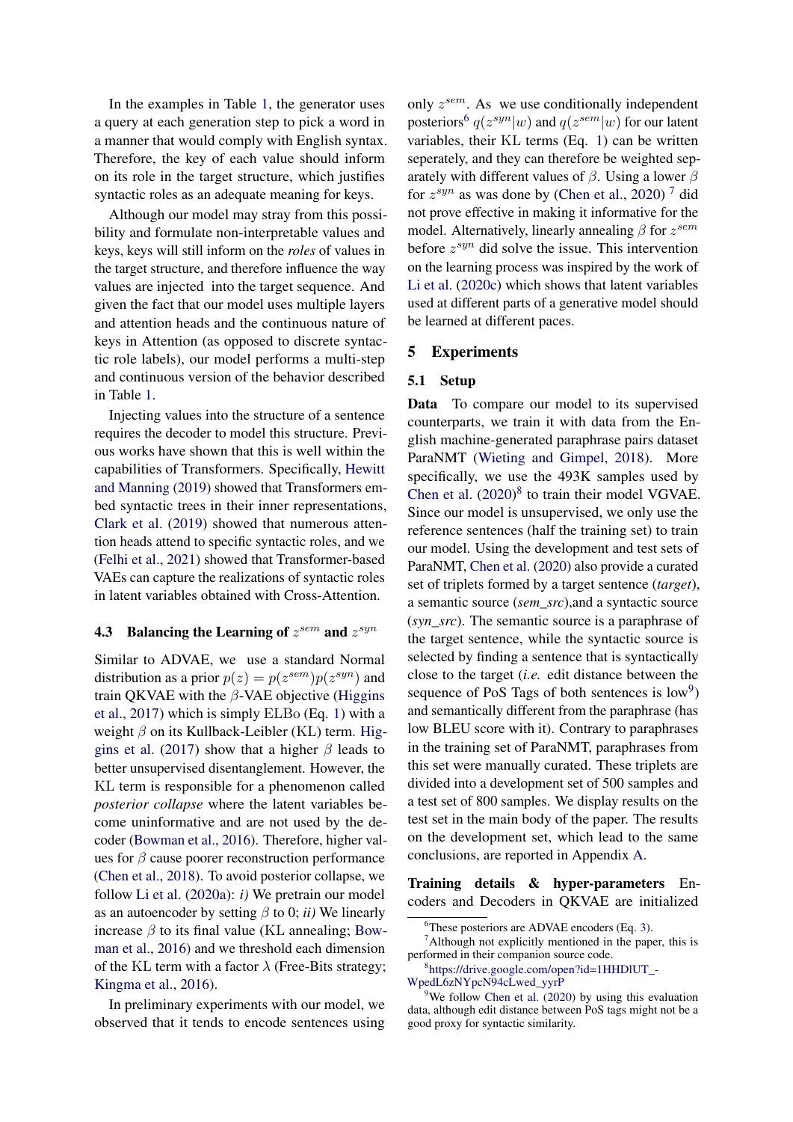In the examples in Table [1,](#page-3-3) the generator uses a query at each generation step to pick a word in a manner that would comply with English syntax. Therefore, the key of each value should inform on its role in the target structure, which justifies syntactic roles as an adequate meaning for keys.

Although our model may stray from this possibility and formulate non-interpretable values and keys, keys will still inform on the *roles* of values in the target structure, and therefore influence the way values are injected into the target sequence. And given the fact that our model uses multiple layers and attention heads and the continuous nature of keys in Attention (as opposed to discrete syntactic role labels), our model performs a multi-step and continuous version of the behavior described in Table [1.](#page-3-3)

Injecting values into the structure of a sentence requires the decoder to model this structure. Previous works have shown that this is well within the capabilities of Transformers. Specifically, [Hewitt](#page-9-12) [and Manning](#page-9-12) [\(2019\)](#page-9-12) showed that Transformers embed syntactic trees in their inner representations, [Clark et al.](#page-9-13) [\(2019\)](#page-9-13) showed that numerous attention heads attend to specific syntactic roles, and we [\(Felhi et al.,](#page-9-4) [2021\)](#page-9-4) showed that Transformer-based VAEs can capture the realizations of syntactic roles in latent variables obtained with Cross-Attention.

# **4.3** Balancing the Learning of  $z^{sem}$  and  $z^{syn}$

Similar to ADVAE, we use a standard Normal distribution as a prior  $p(z) = p(z^{sem})p(z^{syn})$  and train QKVAE with the  $\beta$ -VAE objective [\(Higgins](#page-9-14) [et al.,](#page-9-14) [2017\)](#page-9-14) which is simply ELBo (Eq. [1\)](#page-1-0) with a weight  $\beta$  on its Kullback-Leibler (KL) term. [Hig](#page-9-14)[gins et al.](#page-9-14) [\(2017\)](#page-9-14) show that a higher  $\beta$  leads to better unsupervised disentanglement. However, the KL term is responsible for a phenomenon called *posterior collapse* where the latent variables become uninformative and are not used by the decoder [\(Bowman et al.,](#page-8-3) [2016\)](#page-8-3). Therefore, higher values for  $\beta$  cause poorer reconstruction performance [\(Chen et al.,](#page-9-15) [2018\)](#page-9-15). To avoid posterior collapse, we follow [Li et al.](#page-10-12) [\(2020a\)](#page-10-12): *i)* We pretrain our model as an autoencoder by setting  $\beta$  to 0; *ii*) We linearly increase  $\beta$  to its final value (KL annealing; [Bow](#page-8-3)[man et al.,](#page-8-3) [2016\)](#page-8-3) and we threshold each dimension of the KL term with a factor  $\lambda$  (Free-Bits strategy; [Kingma et al.,](#page-10-13) [2016\)](#page-10-13).

In preliminary experiments with our model, we observed that it tends to encode sentences using

only  $z^{sem}$ . As we use conditionally independent posteriors<sup>[6](#page-4-0)</sup>  $q(z^{syn}|w)$  and  $q(z^{sem}|w)$  for our latent variables, their KL terms (Eq. [1\)](#page-1-0) can be written seperately, and they can therefore be weighted separately with different values of  $\beta$ . Using a lower  $\beta$ for  $z^{syn}$  as was done by [\(Chen et al.,](#page-9-0) [2020\)](#page-9-0)<sup>[7](#page-4-1)</sup> did not prove effective in making it informative for the model. Alternatively, linearly annealing  $\beta$  for  $z^{sem}$ before  $z^{syn}$  did solve the issue. This intervention on the learning process was inspired by the work of [Li et al.](#page-10-14) [\(2020c\)](#page-10-14) which shows that latent variables used at different parts of a generative model should be learned at different paces.

### 5 Experiments

#### 5.1 Setup

Data To compare our model to its supervised counterparts, we train it with data from the English machine-generated paraphrase pairs dataset ParaNMT [\(Wieting and Gimpel,](#page-11-15) [2018\)](#page-11-15). More specifically, we use the 493K samples used by [Chen et al.](#page-9-0)  $(2020)^8$  $(2020)^8$  $(2020)^8$  to train their model VGVAE. Since our model is unsupervised, we only use the reference sentences (half the training set) to train our model. Using the development and test sets of ParaNMT, [Chen et al.](#page-9-0) [\(2020\)](#page-9-0) also provide a curated set of triplets formed by a target sentence (*target*), a semantic source (*sem\_src*),and a syntactic source (*syn\_src*). The semantic source is a paraphrase of the target sentence, while the syntactic source is selected by finding a sentence that is syntactically close to the target (*i.e.* edit distance between the sequence of PoS Tags of both sentences is  $low<sup>9</sup>$  $low<sup>9</sup>$  $low<sup>9</sup>$ ) and semantically different from the paraphrase (has low BLEU score with it). Contrary to paraphrases in the training set of ParaNMT, paraphrases from this set were manually curated. These triplets are divided into a development set of 500 samples and a test set of 800 samples. We display results on the test set in the main body of the paper. The results on the development set, which lead to the same conclusions, are reported in Appendix [A.](#page-12-0)

Training details & hyper-parameters Encoders and Decoders in QKVAE are initialized

<span id="page-4-1"></span><span id="page-4-0"></span> $6$ These posteriors are ADVAE encoders (Eq. [3\)](#page-3-1).

 $^7$ Although not explicitly mentioned in the paper, this is performed in their companion source code.

<span id="page-4-2"></span><sup>8</sup> [https://drive.google.com/open?id=1HHDlUT\\_-](https://drive.google.com/open?id=1HHDlUT_-WpedL6zNYpcN94cLwed_yyrP) [WpedL6zNYpcN94cLwed\\_yyrP](https://drive.google.com/open?id=1HHDlUT_-WpedL6zNYpcN94cLwed_yyrP)

<span id="page-4-3"></span> $9^9$ We follow [Chen et al.](#page-9-0) [\(2020\)](#page-9-0) by using this evaluation data, although edit distance between PoS tags might not be a good proxy for syntactic similarity.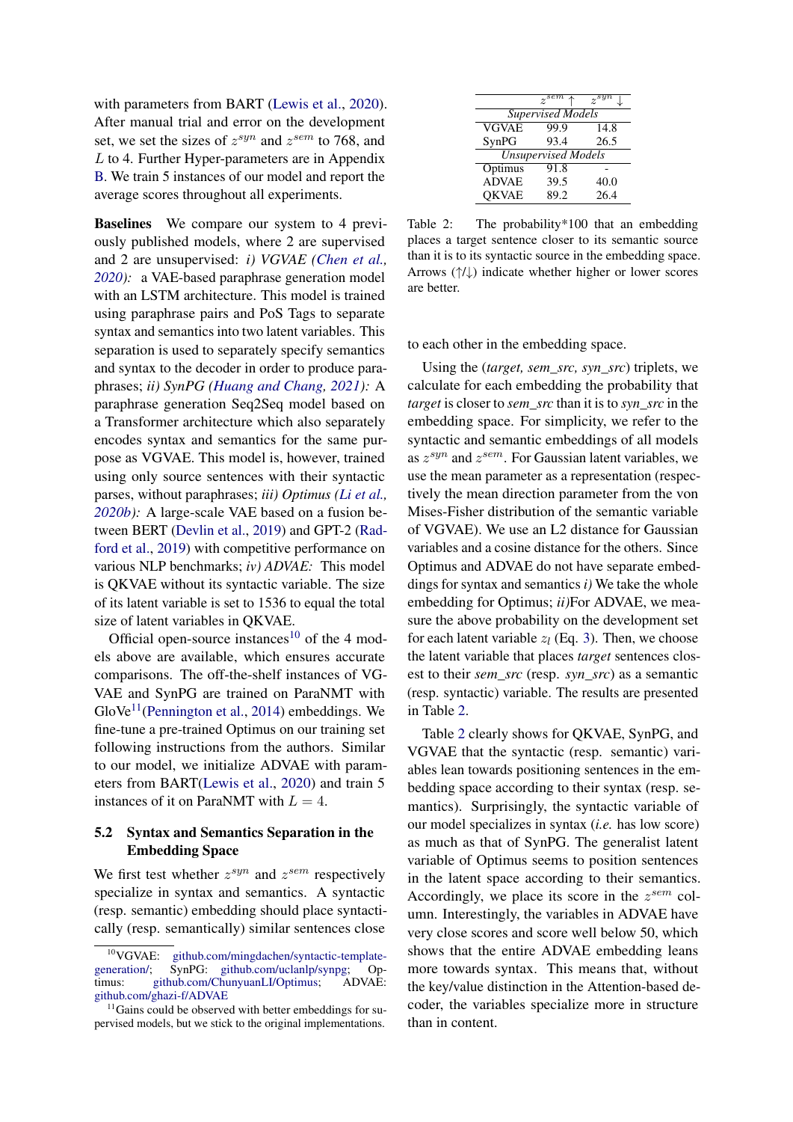with parameters from BART [\(Lewis et al.,](#page-10-15) [2020\)](#page-10-15). After manual trial and error on the development set, we set the sizes of  $z^{syn}$  and  $z^{sem}$  to 768, and L to 4. Further Hyper-parameters are in Appendix [B.](#page-12-1) We train 5 instances of our model and report the average scores throughout all experiments.

Baselines We compare our system to 4 previously published models, where 2 are supervised and 2 are unsupervised: *i) VGVAE [\(Chen et al.,](#page-9-0) [2020\)](#page-9-0):* a VAE-based paraphrase generation model with an LSTM architecture. This model is trained using paraphrase pairs and PoS Tags to separate syntax and semantics into two latent variables. This separation is used to separately specify semantics and syntax to the decoder in order to produce paraphrases; *ii) SynPG [\(Huang and Chang,](#page-9-1) [2021\)](#page-9-1):* A paraphrase generation Seq2Seq model based on a Transformer architecture which also separately encodes syntax and semantics for the same purpose as VGVAE. This model is, however, trained using only source sentences with their syntactic parses, without paraphrases; *iii) Optimus [\(Li et al.,](#page-10-11) [2020b\)](#page-10-11):* A large-scale VAE based on a fusion between BERT [\(Devlin et al.,](#page-9-16) [2019\)](#page-9-16) and GPT-2 [\(Rad](#page-11-16)[ford et al.,](#page-11-16) [2019\)](#page-11-16) with competitive performance on various NLP benchmarks; *iv) ADVAE:* This model is QKVAE without its syntactic variable. The size of its latent variable is set to 1536 to equal the total size of latent variables in QKVAE.

Official open-source instances<sup>[10](#page-5-0)</sup> of the 4 models above are available, which ensures accurate comparisons. The off-the-shelf instances of VG-VAE and SynPG are trained on ParaNMT with  $GloVe<sup>11</sup>$  $GloVe<sup>11</sup>$  $GloVe<sup>11</sup>$ [\(Pennington et al.,](#page-11-17) [2014\)](#page-11-17) embeddings. We fine-tune a pre-trained Optimus on our training set following instructions from the authors. Similar to our model, we initialize ADVAE with parameters from BART[\(Lewis et al.,](#page-10-15) [2020\)](#page-10-15) and train 5 instances of it on ParaNMT with  $L = 4$ .

# 5.2 Syntax and Semantics Separation in the Embedding Space

We first test whether  $z^{syn}$  and  $z^{sem}$  respectively specialize in syntax and semantics. A syntactic (resp. semantic) embedding should place syntactically (resp. semantically) similar sentences close

<span id="page-5-2"></span>

|                            | $z^{sem} \uparrow$ | $\gamma^{syn}$ |  |  |  |  |  |  |
|----------------------------|--------------------|----------------|--|--|--|--|--|--|
| <b>Supervised Models</b>   |                    |                |  |  |  |  |  |  |
| <b>VGVAE</b>               | 99.9               | 14.8           |  |  |  |  |  |  |
| SynPG                      | 93.4               | 26.5           |  |  |  |  |  |  |
| <b>Unsupervised Models</b> |                    |                |  |  |  |  |  |  |
| Optimus                    | 91.8               |                |  |  |  |  |  |  |
| <b>ADVAE</b>               | 39.5               | 40.0           |  |  |  |  |  |  |
| <b>OKVAE</b>               | 89.2               | 26.4           |  |  |  |  |  |  |

Table 2: The probability \*100 that an embedding places a target sentence closer to its semantic source than it is to its syntactic source in the embedding space. Arrows (↑/↓) indicate whether higher or lower scores are better.

to each other in the embedding space.

Using the (*target, sem\_src, syn\_src*) triplets, we calculate for each embedding the probability that *target* is closer to *sem\_src* than it is to *syn\_src* in the embedding space. For simplicity, we refer to the syntactic and semantic embeddings of all models as  $z^{syn}$  and  $z^{sem}$ . For Gaussian latent variables, we use the mean parameter as a representation (respectively the mean direction parameter from the von Mises-Fisher distribution of the semantic variable of VGVAE). We use an L2 distance for Gaussian variables and a cosine distance for the others. Since Optimus and ADVAE do not have separate embeddings for syntax and semantics *i)* We take the whole embedding for Optimus; *ii)*For ADVAE, we measure the above probability on the development set for each latent variable  $z_l$  (Eq. [3\)](#page-3-1). Then, we choose the latent variable that places *target* sentences closest to their *sem\_src* (resp. *syn\_src*) as a semantic (resp. syntactic) variable. The results are presented in Table [2.](#page-5-2)

Table [2](#page-5-2) clearly shows for QKVAE, SynPG, and VGVAE that the syntactic (resp. semantic) variables lean towards positioning sentences in the embedding space according to their syntax (resp. semantics). Surprisingly, the syntactic variable of our model specializes in syntax (*i.e.* has low score) as much as that of SynPG. The generalist latent variable of Optimus seems to position sentences in the latent space according to their semantics. Accordingly, we place its score in the  $z^{sem}$  column. Interestingly, the variables in ADVAE have very close scores and score well below 50, which shows that the entire ADVAE embedding leans more towards syntax. This means that, without the key/value distinction in the Attention-based decoder, the variables specialize more in structure than in content.

<span id="page-5-0"></span><sup>&</sup>lt;sup>10</sup>VGVAE: github.com/mingdachen/syntactic-template-<br>generation/; SynPG: github.com/uclanlp/synpg; Op[generation/;](https://github.com/mingdachen/syntactic-template-generation/) SynPG: [github.com/uclanlp/synpg;](https://github.com/uclanlp/synpg) Op-<br>timus: github.com/ChunyuanLI/Optimus: ADVAE: [github.com/ChunyuanLI/Optimus;](https://github.com/ChunyuanLI/Optimus) [github.com/ghazi-f/ADVAE](https://github.com/ghazi-f/ADVAE)

<span id="page-5-1"></span> $11$ Gains could be observed with better embeddings for supervised models, but we stick to the original implementations.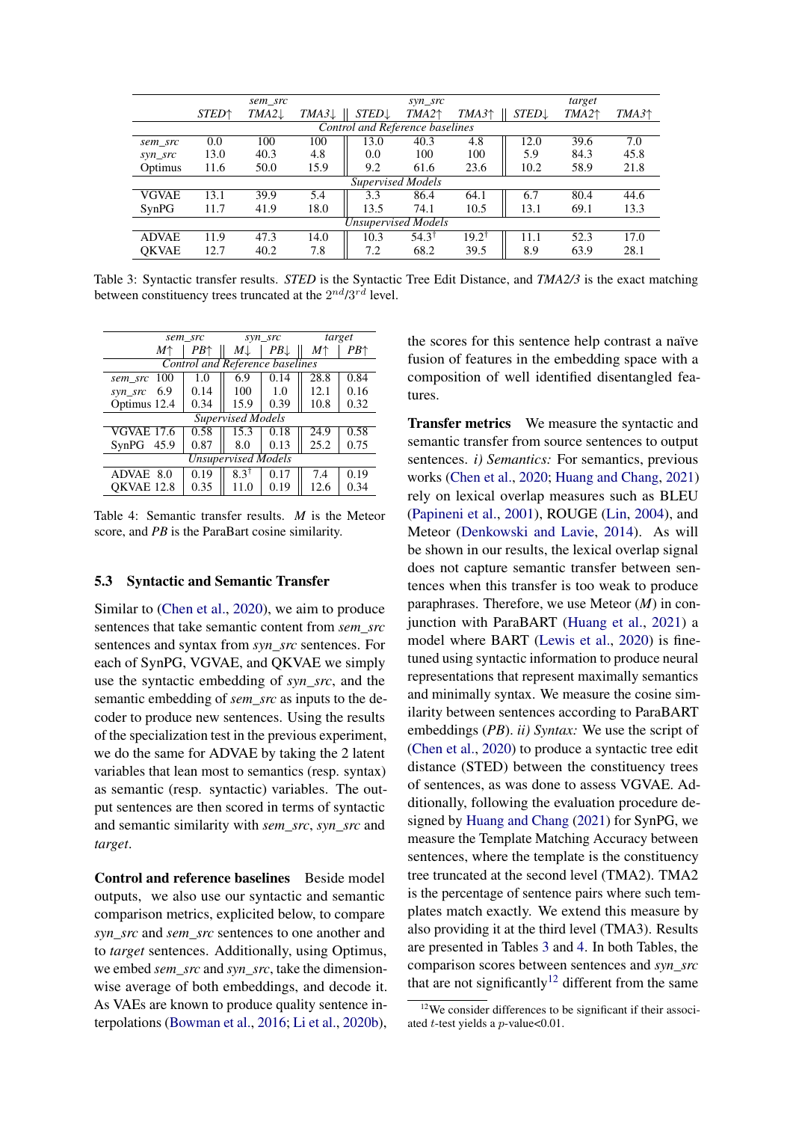<span id="page-6-0"></span>

|                                        |                          | sem src          |                  |                          | syn_src          |                     | target           |          |         |
|----------------------------------------|--------------------------|------------------|------------------|--------------------------|------------------|---------------------|------------------|----------|---------|
|                                        | <b>STED</b> <sup>+</sup> | $TMA2\downarrow$ | $TMA3\downarrow$ | <b>STED</b> $\downarrow$ | $TMA2^+$         | TMA3 <sup>†</sup>   | $STED\downarrow$ | $TMA2^+$ | $TMA3+$ |
| <b>Control and Reference baselines</b> |                          |                  |                  |                          |                  |                     |                  |          |         |
| sem src                                | 0.0                      | 100              | 100              | 13.0                     | 40.3             | 4.8                 | 12.0             | 39.6     | 7.0     |
| syn_src                                | 13.0                     | 40.3             | 4.8              | 0.0                      | 100              | 100                 | 5.9              | 84.3     | 45.8    |
| Optimus                                | 11.6                     | 50.0             | 15.9             | 9.2                      | 61.6             | 23.6                | 10.2             | 58.9     | 21.8    |
|                                        |                          |                  |                  | <b>Supervised Models</b> |                  |                     |                  |          |         |
| <b>VGVAE</b>                           | 13.1                     | 39.9             | 5.4              | 3.3                      | 86.4             | 64.1                | 6.7              | 80.4     | 44.6    |
| SynPG                                  | 11.7                     | 41.9             | 18.0             | 13.5                     | 74.1             | 10.5                | 13.1             | 69.1     | 13.3    |
| <b>Unsupervised Models</b>             |                          |                  |                  |                          |                  |                     |                  |          |         |
| <b>ADVAE</b>                           | 11.9                     | 47.3             | 14.0             | 10.3                     | $54.3^{\dagger}$ | $19.2^{\mathrm{T}}$ | 11.1             | 52.3     | 17.0    |
| <b>OKVAE</b>                           | 12.7                     | 40.2             | 7.8              | 7.2                      | 68.2             | 39.5                | 8.9              | 63.9     | 28.1    |

Table 3: Syntactic transfer results. *STED* is the Syntactic Tree Edit Distance, and *TMA2/3* is the exact matching between constituency trees truncated at the  $2^{nd}/3^{rd}$  level.

<span id="page-6-1"></span>

| sem src                    |                                 | syn_src                  | target |             |      |  |  |  |  |
|----------------------------|---------------------------------|--------------------------|--------|-------------|------|--|--|--|--|
| М↑                         | PB↑                             | $M\downarrow$            | PB     | $M\uparrow$ | PB↑  |  |  |  |  |
|                            | Control and Reference baselines |                          |        |             |      |  |  |  |  |
| 100<br>sem src             | 1.0                             | 6.9                      | 0.14   | 28.8        | 0.84 |  |  |  |  |
| 6.9<br>syn_src             | 0.14                            | 100                      | 1.0    | 12.1        | 0.16 |  |  |  |  |
| Optimus 12.4               | 0.34                            | 15.9                     | 0.39   | 10.8        | 0.32 |  |  |  |  |
|                            |                                 | <b>Supervised Models</b> |        |             |      |  |  |  |  |
| <b>VGVAE 17.6</b>          | 0.58                            | 15.3                     | 0.18   | 24.9        | 0.58 |  |  |  |  |
| SynPG<br>45.9              | 0.87                            | 8.0                      | 0.13   | 25.2        | 0.75 |  |  |  |  |
| <b>Unsupervised Models</b> |                                 |                          |        |             |      |  |  |  |  |
| ADVAE<br>8.0               | 0.19                            | $8.3^{\dagger}$          | 0.17   | 7.4         | 0.19 |  |  |  |  |
| OKVAE 12.8                 | 0.35                            | 11.0                     | 0.19   | 12.6        | 0.34 |  |  |  |  |

Table 4: Semantic transfer results. *M* is the Meteor score, and *PB* is the ParaBart cosine similarity.

#### 5.3 Syntactic and Semantic Transfer

Similar to [\(Chen et al.,](#page-9-0) [2020\)](#page-9-0), we aim to produce sentences that take semantic content from *sem\_src* sentences and syntax from *syn\_src* sentences. For each of SynPG, VGVAE, and QKVAE we simply use the syntactic embedding of *syn\_src*, and the semantic embedding of *sem\_src* as inputs to the decoder to produce new sentences. Using the results of the specialization test in the previous experiment, we do the same for ADVAE by taking the 2 latent variables that lean most to semantics (resp. syntax) as semantic (resp. syntactic) variables. The output sentences are then scored in terms of syntactic and semantic similarity with *sem\_src*, *syn\_src* and *target*.

Control and reference baselines Beside model outputs, we also use our syntactic and semantic comparison metrics, explicited below, to compare *syn\_src* and *sem\_src* sentences to one another and to *target* sentences. Additionally, using Optimus, we embed *sem\_src* and *syn\_src*, take the dimensionwise average of both embeddings, and decode it. As VAEs are known to produce quality sentence interpolations [\(Bowman et al.,](#page-8-3) [2016;](#page-8-3) [Li et al.,](#page-10-11) [2020b\)](#page-10-11), the scores for this sentence help contrast a naïve fusion of features in the embedding space with a composition of well identified disentangled features.

Transfer metrics We measure the syntactic and semantic transfer from source sentences to output sentences. *i) Semantics:* For semantics, previous works [\(Chen et al.,](#page-9-0) [2020;](#page-9-0) [Huang and Chang,](#page-9-1) [2021\)](#page-9-1) rely on lexical overlap measures such as BLEU [\(Papineni et al.,](#page-11-18) [2001\)](#page-11-18), ROUGE [\(Lin,](#page-10-16) [2004\)](#page-10-16), and Meteor [\(Denkowski and Lavie,](#page-9-17) [2014\)](#page-9-17). As will be shown in our results, the lexical overlap signal does not capture semantic transfer between sentences when this transfer is too weak to produce paraphrases. Therefore, we use Meteor (*M*) in conjunction with ParaBART [\(Huang et al.,](#page-9-2) [2021\)](#page-9-2) a model where BART [\(Lewis et al.,](#page-10-15) [2020\)](#page-10-15) is finetuned using syntactic information to produce neural representations that represent maximally semantics and minimally syntax. We measure the cosine similarity between sentences according to ParaBART embeddings (*PB*). *ii) Syntax:* We use the script of [\(Chen et al.,](#page-9-0) [2020\)](#page-9-0) to produce a syntactic tree edit distance (STED) between the constituency trees of sentences, as was done to assess VGVAE. Additionally, following the evaluation procedure designed by [Huang and Chang](#page-9-1) [\(2021\)](#page-9-1) for SynPG, we measure the Template Matching Accuracy between sentences, where the template is the constituency tree truncated at the second level (TMA2). TMA2 is the percentage of sentence pairs where such templates match exactly. We extend this measure by also providing it at the third level (TMA3). Results are presented in Tables [3](#page-6-0) and [4.](#page-6-1) In both Tables, the comparison scores between sentences and *syn\_src* that are not significantly<sup>[12](#page-6-2)</sup> different from the same

<span id="page-6-2"></span><sup>&</sup>lt;sup>12</sup>We consider differences to be significant if their associated *t*-test yields a  $p$ -value< $0.01$ .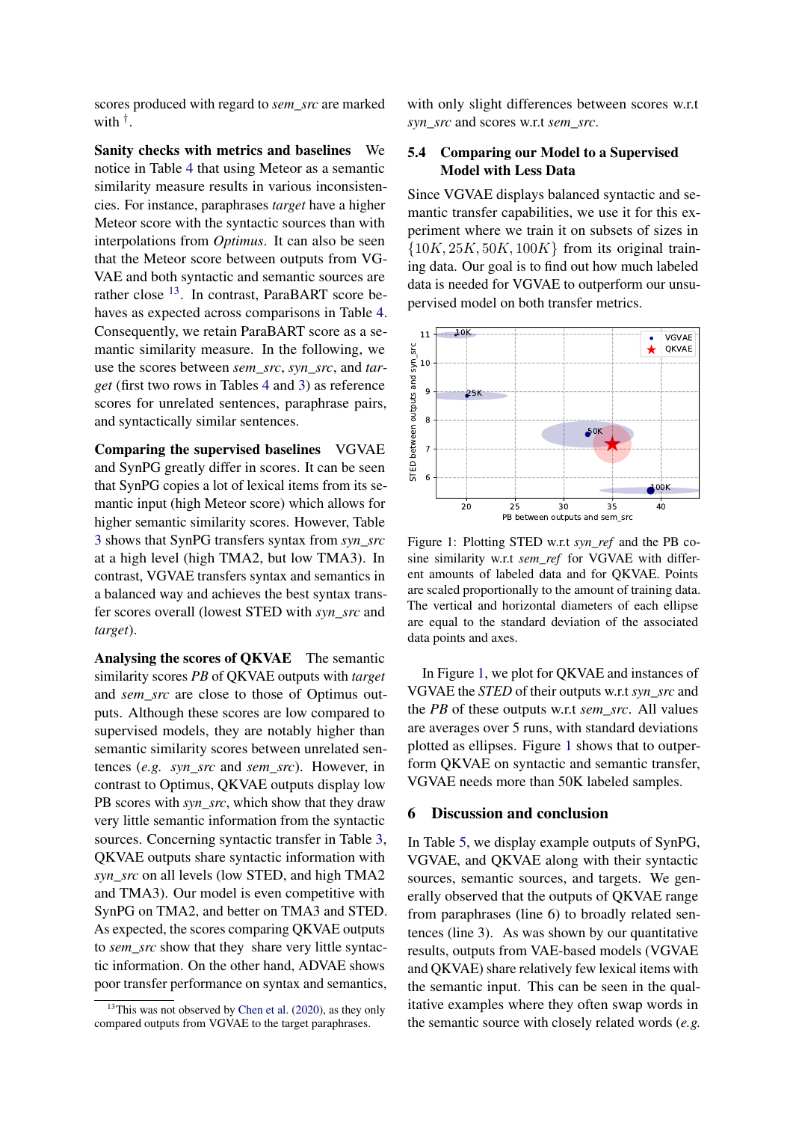scores produced with regard to *sem\_src* are marked with † .

Sanity checks with metrics and baselines We notice in Table [4](#page-6-1) that using Meteor as a semantic similarity measure results in various inconsistencies. For instance, paraphrases *target* have a higher Meteor score with the syntactic sources than with interpolations from *Optimus*. It can also be seen that the Meteor score between outputs from VG-VAE and both syntactic and semantic sources are rather close  $^{13}$  $^{13}$  $^{13}$ . In contrast, ParaBART score behaves as expected across comparisons in Table [4.](#page-6-1) Consequently, we retain ParaBART score as a semantic similarity measure. In the following, we use the scores between *sem\_src*, *syn\_src*, and *target* (first two rows in Tables [4](#page-6-1) and [3\)](#page-6-0) as reference scores for unrelated sentences, paraphrase pairs, and syntactically similar sentences.

Comparing the supervised baselines VGVAE and SynPG greatly differ in scores. It can be seen that SynPG copies a lot of lexical items from its semantic input (high Meteor score) which allows for higher semantic similarity scores. However, Table [3](#page-6-0) shows that SynPG transfers syntax from *syn\_src* at a high level (high TMA2, but low TMA3). In contrast, VGVAE transfers syntax and semantics in a balanced way and achieves the best syntax transfer scores overall (lowest STED with *syn\_src* and *target*).

Analysing the scores of QKVAE The semantic similarity scores *PB* of QKVAE outputs with *target* and *sem\_src* are close to those of Optimus outputs. Although these scores are low compared to supervised models, they are notably higher than semantic similarity scores between unrelated sentences (*e.g. syn\_src* and *sem\_src*). However, in contrast to Optimus, QKVAE outputs display low PB scores with *syn\_src*, which show that they draw very little semantic information from the syntactic sources. Concerning syntactic transfer in Table [3,](#page-6-0) QKVAE outputs share syntactic information with *syn\_src* on all levels (low STED, and high TMA2 and TMA3). Our model is even competitive with SynPG on TMA2, and better on TMA3 and STED. As expected, the scores comparing QKVAE outputs to *sem\_src* show that they share very little syntactic information. On the other hand, ADVAE shows poor transfer performance on syntax and semantics, with only slight differences between scores w.r.t. *syn\_src* and scores w.r.t *sem\_src*.

# 5.4 Comparing our Model to a Supervised Model with Less Data

Since VGVAE displays balanced syntactic and semantic transfer capabilities, we use it for this experiment where we train it on subsets of sizes in  ${10K, 25K, 50K, 100K}$  from its original training data. Our goal is to find out how much labeled data is needed for VGVAE to outperform our unsupervised model on both transfer metrics.

<span id="page-7-1"></span>

Figure 1: Plotting STED w.r.t *syn\_ref* and the PB cosine similarity w.r.t *sem\_ref* for VGVAE with different amounts of labeled data and for QKVAE. Points are scaled proportionally to the amount of training data. The vertical and horizontal diameters of each ellipse are equal to the standard deviation of the associated data points and axes.

In Figure [1,](#page-7-1) we plot for QKVAE and instances of VGVAE the *STED* of their outputs w.r.t *syn\_src* and the *PB* of these outputs w.r.t *sem\_src*. All values are averages over 5 runs, with standard deviations plotted as ellipses. Figure [1](#page-7-1) shows that to outperform QKVAE on syntactic and semantic transfer, VGVAE needs more than 50K labeled samples.

#### 6 Discussion and conclusion

In Table [5,](#page-8-4) we display example outputs of SynPG, VGVAE, and QKVAE along with their syntactic sources, semantic sources, and targets. We generally observed that the outputs of QKVAE range from paraphrases (line 6) to broadly related sentences (line 3). As was shown by our quantitative results, outputs from VAE-based models (VGVAE and QKVAE) share relatively few lexical items with the semantic input. This can be seen in the qualitative examples where they often swap words in the semantic source with closely related words (*e.g.*

<span id="page-7-0"></span> $13$ This was not observed by [Chen et al.](#page-9-0) [\(2020\)](#page-9-0), as they only compared outputs from VGVAE to the target paraphrases.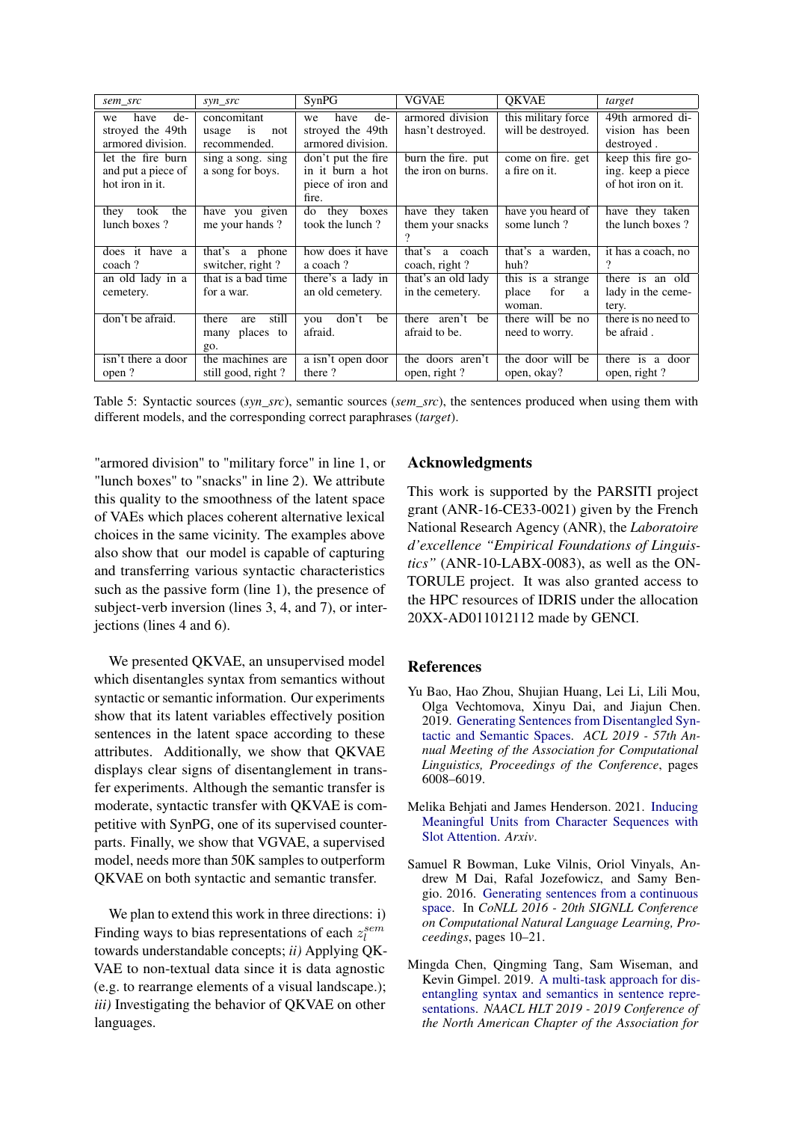<span id="page-8-4"></span>

| sem_src                                                    | $syn\_src$                                               | SynPG                                                                | <b>VGVAE</b>                             | <b>OKVAE</b>                                     | target                                                        |
|------------------------------------------------------------|----------------------------------------------------------|----------------------------------------------------------------------|------------------------------------------|--------------------------------------------------|---------------------------------------------------------------|
| de-<br>have<br>we<br>stroyed the 49th<br>armored division. | concomitant<br>usage<br><i>is</i><br>not<br>recommended. | have<br>$de-$<br>we<br>stroyed the 49th<br>armored division.         | armored division<br>hasn't destroyed.    | this military force<br>will be destroyed.        | 49th armored di-<br>vision has been<br>destroyed.             |
| let the fire burn<br>and put a piece of<br>hot iron in it. | sing a song. sing<br>a song for boys.                    | don't put the fire<br>in it burn a hot<br>piece of iron and<br>fire. | burn the fire. put<br>the iron on burns. | come on fire. get<br>a fire on it.               | keep this fire go-<br>ing. keep a piece<br>of hot iron on it. |
| took<br>the<br>they<br>lunch boxes?                        | have you given<br>me your hands?                         | they<br>do<br>boxes<br>took the lunch?                               | have they taken<br>them your snacks      | have you heard of<br>some lunch?                 | have they taken<br>the lunch boxes?                           |
| does it have a<br>coach?                                   | that's a phone<br>switcher, right?                       | how does it have<br>a coach?                                         | that's<br>a coach<br>coach, right?       | that's a warden.<br>huh?                         | it has a coach, no<br>?                                       |
| an old lady in a<br>cemetery.                              | that is a bad time<br>for a war.                         | there's a lady in<br>an old cemetery.                                | that's an old lady<br>in the cemetery.   | this is a strange<br>for<br>place<br>a<br>woman. | there is an old<br>lady in the ceme-<br>tery.                 |
| don't be afraid.                                           | still<br>there<br>are<br>many places to<br>go.           | don't<br>be<br>you<br>afraid.                                        | aren't be<br>there<br>afraid to be.      | there will be no<br>need to worry.               | there is no need to<br>be afraid.                             |
| isn't there a door<br>open?                                | the machines are<br>still good, right?                   | a isn't open door<br>there?                                          | the doors aren't<br>open, right?         | the door will be<br>open, okay?                  | there is a door<br>open, right?                               |

Table 5: Syntactic sources (*syn\_src*), semantic sources (*sem\_src*), the sentences produced when using them with different models, and the corresponding correct paraphrases (*target*).

"armored division" to "military force" in line 1, or "lunch boxes" to "snacks" in line 2). We attribute this quality to the smoothness of the latent space of VAEs which places coherent alternative lexical choices in the same vicinity. The examples above also show that our model is capable of capturing and transferring various syntactic characteristics such as the passive form (line 1), the presence of subject-verb inversion (lines 3, 4, and 7), or interjections (lines 4 and 6).

We presented QKVAE, an unsupervised model which disentangles syntax from semantics without syntactic or semantic information. Our experiments show that its latent variables effectively position sentences in the latent space according to these attributes. Additionally, we show that QKVAE displays clear signs of disentanglement in transfer experiments. Although the semantic transfer is moderate, syntactic transfer with QKVAE is competitive with SynPG, one of its supervised counterparts. Finally, we show that VGVAE, a supervised model, needs more than 50K samples to outperform QKVAE on both syntactic and semantic transfer.

We plan to extend this work in three directions: i) Finding ways to bias representations of each  $z_l^{sem}$ towards understandable concepts; *ii)* Applying QK-VAE to non-textual data since it is data agnostic (e.g. to rearrange elements of a visual landscape.); *iii)* Investigating the behavior of QKVAE on other languages.

# Acknowledgments

This work is supported by the PARSITI project grant (ANR-16-CE33-0021) given by the French National Research Agency (ANR), the *Laboratoire d'excellence "Empirical Foundations of Linguistics"* (ANR-10-LABX-0083), as well as the ON-TORULE project. It was also granted access to the HPC resources of IDRIS under the allocation 20XX-AD011012112 made by GENCI.

# References

- <span id="page-8-1"></span>Yu Bao, Hao Zhou, Shujian Huang, Lei Li, Lili Mou, Olga Vechtomova, Xinyu Dai, and Jiajun Chen. 2019. [Generating Sentences from Disentangled Syn](https://doi.org/10.18653/v1/p19-1602)[tactic and Semantic Spaces.](https://doi.org/10.18653/v1/p19-1602) *ACL 2019 - 57th Annual Meeting of the Association for Computational Linguistics, Proceedings of the Conference*, pages 6008–6019.
- <span id="page-8-2"></span>Melika Behjati and James Henderson. 2021. [Inducing](http://arxiv.org/abs/2102.01223) [Meaningful Units from Character Sequences with](http://arxiv.org/abs/2102.01223) [Slot Attention.](http://arxiv.org/abs/2102.01223) *Arxiv*.
- <span id="page-8-3"></span>Samuel R Bowman, Luke Vilnis, Oriol Vinyals, Andrew M Dai, Rafal Jozefowicz, and Samy Bengio. 2016. [Generating sentences from a continuous](https://doi.org/10.18653/v1/k16-1002) [space.](https://doi.org/10.18653/v1/k16-1002) In *CoNLL 2016 - 20th SIGNLL Conference on Computational Natural Language Learning, Proceedings*, pages 10–21.
- <span id="page-8-0"></span>Mingda Chen, Qingming Tang, Sam Wiseman, and Kevin Gimpel. 2019. [A multi-task approach for dis](https://doi.org/10.18653/v1/n19-1254)[entangling syntax and semantics in sentence repre](https://doi.org/10.18653/v1/n19-1254)[sentations.](https://doi.org/10.18653/v1/n19-1254) *NAACL HLT 2019 - 2019 Conference of the North American Chapter of the Association for*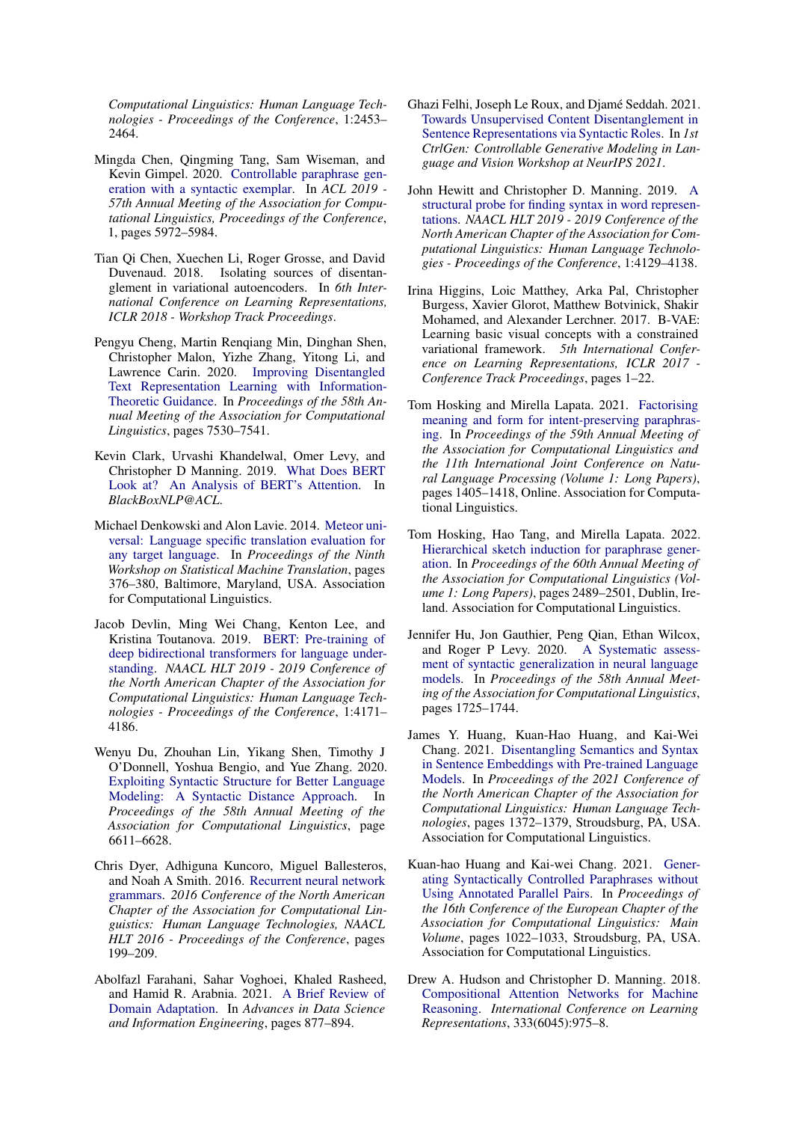*Computational Linguistics: Human Language Technologies - Proceedings of the Conference*, 1:2453– 2464.

- <span id="page-9-0"></span>Mingda Chen, Qingming Tang, Sam Wiseman, and Kevin Gimpel. 2020. [Controllable paraphrase gen](https://doi.org/10.18653/v1/p19-1599)[eration with a syntactic exemplar.](https://doi.org/10.18653/v1/p19-1599) In *ACL 2019 - 57th Annual Meeting of the Association for Computational Linguistics, Proceedings of the Conference*, 1, pages 5972–5984.
- <span id="page-9-15"></span>Tian Qi Chen, Xuechen Li, Roger Grosse, and David Duvenaud. 2018. Isolating sources of disentanglement in variational autoencoders. In *6th International Conference on Learning Representations, ICLR 2018 - Workshop Track Proceedings*.
- <span id="page-9-8"></span>Pengyu Cheng, Martin Renqiang Min, Dinghan Shen, Christopher Malon, Yizhe Zhang, Yitong Li, and Lawrence Carin. 2020. [Improving Disentangled](https://doi.org/10.18653/v1/2020.acl-main.673) [Text Representation Learning with Information-](https://doi.org/10.18653/v1/2020.acl-main.673)[Theoretic Guidance.](https://doi.org/10.18653/v1/2020.acl-main.673) In *Proceedings of the 58th Annual Meeting of the Association for Computational Linguistics*, pages 7530–7541.
- <span id="page-9-13"></span>Kevin Clark, Urvashi Khandelwal, Omer Levy, and Christopher D Manning. 2019. [What Does BERT](https://doi.org/10.18653/v1/w19-4828) [Look at? An Analysis of BERT's Attention.](https://doi.org/10.18653/v1/w19-4828) In *BlackBoxNLP@ACL*.
- <span id="page-9-17"></span>Michael Denkowski and Alon Lavie. 2014. [Meteor uni](https://doi.org/10.3115/v1/W14-3348)[versal: Language specific translation evaluation for](https://doi.org/10.3115/v1/W14-3348) [any target language.](https://doi.org/10.3115/v1/W14-3348) In *Proceedings of the Ninth Workshop on Statistical Machine Translation*, pages 376–380, Baltimore, Maryland, USA. Association for Computational Linguistics.
- <span id="page-9-16"></span>Jacob Devlin, Ming Wei Chang, Kenton Lee, and Kristina Toutanova. 2019. [BERT: Pre-training of](https://doi.org/arXiv:1811.03600v2) [deep bidirectional transformers for language under](https://doi.org/arXiv:1811.03600v2)[standing.](https://doi.org/arXiv:1811.03600v2) *NAACL HLT 2019 - 2019 Conference of the North American Chapter of the Association for Computational Linguistics: Human Language Technologies - Proceedings of the Conference*, 1:4171– 4186.
- <span id="page-9-7"></span>Wenyu Du, Zhouhan Lin, Yikang Shen, Timothy J O'Donnell, Yoshua Bengio, and Yue Zhang. 2020. [Exploiting Syntactic Structure for Better Language](https://doi.org/10.18653/v1/2020.acl-main.591) [Modeling: A Syntactic Distance Approach.](https://doi.org/10.18653/v1/2020.acl-main.591) In *Proceedings of the 58th Annual Meeting of the Association for Computational Linguistics*, page 6611–6628.
- <span id="page-9-6"></span>Chris Dyer, Adhiguna Kuncoro, Miguel Ballesteros, and Noah A Smith. 2016. [Recurrent neural network](https://doi.org/10.18653/v1/n16-1024) [grammars.](https://doi.org/10.18653/v1/n16-1024) *2016 Conference of the North American Chapter of the Association for Computational Linguistics: Human Language Technologies, NAACL HLT 2016 - Proceedings of the Conference*, pages 199–209.
- <span id="page-9-3"></span>Abolfazl Farahani, Sahar Voghoei, Khaled Rasheed, and Hamid R. Arabnia. 2021. [A Brief Review of](https://doi.org/10.1007/978-3-030-71704-9{_}65) [Domain Adaptation.](https://doi.org/10.1007/978-3-030-71704-9{_}65) In *Advances in Data Science and Information Engineering*, pages 877–894.
- <span id="page-9-4"></span>Ghazi Felhi, Joseph Le Roux, and Djamé Seddah. 2021. [Towards Unsupervised Content Disentanglement in](https://ctrlgenworkshop.github.io/camready/21/CameraReady/CTRLGEN (7).pdf) [Sentence Representations via Syntactic Roles.](https://ctrlgenworkshop.github.io/camready/21/CameraReady/CTRLGEN (7).pdf) In *1st CtrlGen: Controllable Generative Modeling in Language and Vision Workshop at NeurIPS 2021*.
- <span id="page-9-12"></span>John Hewitt and Christopher D. Manning. 2019. [A](https://aclanthology.org/N19-1419) [structural probe for finding syntax in word represen](https://aclanthology.org/N19-1419)[tations.](https://aclanthology.org/N19-1419) *NAACL HLT 2019 - 2019 Conference of the North American Chapter of the Association for Computational Linguistics: Human Language Technologies - Proceedings of the Conference*, 1:4129–4138.
- <span id="page-9-14"></span>Irina Higgins, Loic Matthey, Arka Pal, Christopher Burgess, Xavier Glorot, Matthew Botvinick, Shakir Mohamed, and Alexander Lerchner. 2017. B-VAE: Learning basic visual concepts with a constrained variational framework. *5th International Conference on Learning Representations, ICLR 2017 - Conference Track Proceedings*, pages 1–22.
- <span id="page-9-9"></span>Tom Hosking and Mirella Lapata. 2021. [Factorising](https://doi.org/10.18653/v1/2021.acl-long.112) [meaning and form for intent-preserving paraphras](https://doi.org/10.18653/v1/2021.acl-long.112)[ing.](https://doi.org/10.18653/v1/2021.acl-long.112) In *Proceedings of the 59th Annual Meeting of the Association for Computational Linguistics and the 11th International Joint Conference on Natural Language Processing (Volume 1: Long Papers)*, pages 1405–1418, Online. Association for Computational Linguistics.
- <span id="page-9-10"></span>Tom Hosking, Hao Tang, and Mirella Lapata. 2022. [Hierarchical sketch induction for paraphrase gener](https://aclanthology.org/2022.acl-long.178)[ation.](https://aclanthology.org/2022.acl-long.178) In *Proceedings of the 60th Annual Meeting of the Association for Computational Linguistics (Volume 1: Long Papers)*, pages 2489–2501, Dublin, Ireland. Association for Computational Linguistics.
- <span id="page-9-5"></span>Jennifer Hu, Jon Gauthier, Peng Qian, Ethan Wilcox, and Roger P Levy. 2020. [A Systematic assess](https://doi.org/10.18653/v1/2020.acl-main.158)[ment of syntactic generalization in neural language](https://doi.org/10.18653/v1/2020.acl-main.158) [models.](https://doi.org/10.18653/v1/2020.acl-main.158) In *Proceedings of the 58th Annual Meeting of the Association for Computational Linguistics*, pages 1725–1744.
- <span id="page-9-2"></span>James Y. Huang, Kuan-Hao Huang, and Kai-Wei Chang. 2021. [Disentangling Semantics and Syntax](https://doi.org/10.18653/v1/2021.naacl-main.108) [in Sentence Embeddings with Pre-trained Language](https://doi.org/10.18653/v1/2021.naacl-main.108) [Models.](https://doi.org/10.18653/v1/2021.naacl-main.108) In *Proceedings of the 2021 Conference of the North American Chapter of the Association for Computational Linguistics: Human Language Technologies*, pages 1372–1379, Stroudsburg, PA, USA. Association for Computational Linguistics.
- <span id="page-9-1"></span>Kuan-hao Huang and Kai-wei Chang. 2021. [Gener](https://doi.org/10.18653/v1/2021.eacl-main.88)[ating Syntactically Controlled Paraphrases without](https://doi.org/10.18653/v1/2021.eacl-main.88) [Using Annotated Parallel Pairs.](https://doi.org/10.18653/v1/2021.eacl-main.88) In *Proceedings of the 16th Conference of the European Chapter of the Association for Computational Linguistics: Main Volume*, pages 1022–1033, Stroudsburg, PA, USA. Association for Computational Linguistics.
- <span id="page-9-11"></span>Drew A. Hudson and Christopher D. Manning. 2018. [Compositional Attention Networks for Machine](https://doi.org/10.1126/science.1204534) [Reasoning.](https://doi.org/10.1126/science.1204534) *International Conference on Learning Representations*, 333(6045):975–8.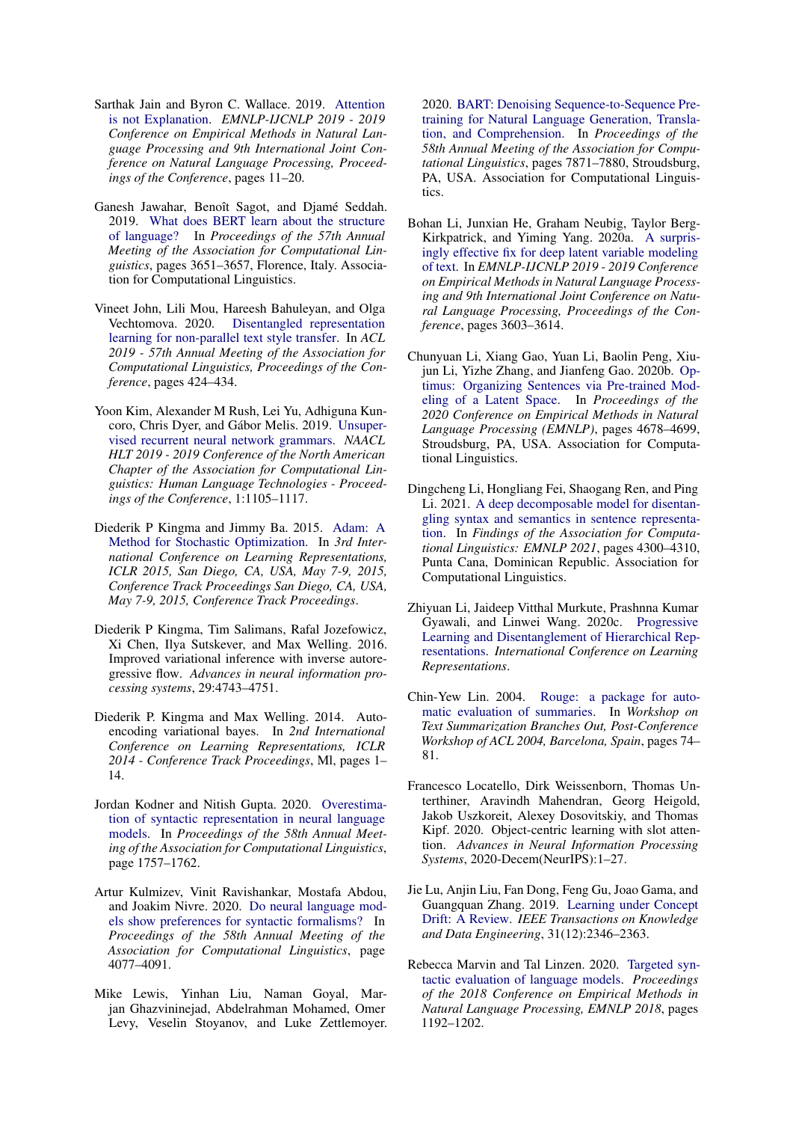- <span id="page-10-6"></span>Sarthak Jain and Byron C. Wallace. 2019. [Attention](https://doi.org/10.18653/v1/d19-1002) [is not Explanation.](https://doi.org/10.18653/v1/d19-1002) *EMNLP-IJCNLP 2019 - 2019 Conference on Empirical Methods in Natural Language Processing and 9th International Joint Conference on Natural Language Processing, Proceedings of the Conference*, pages 11–20.
- <span id="page-10-2"></span>Ganesh Jawahar, Benoît Sagot, and Djamé Seddah. 2019. [What does BERT learn about the structure](https://doi.org/10.18653/v1/P19-1356) [of language?](https://doi.org/10.18653/v1/P19-1356) In *Proceedings of the 57th Annual Meeting of the Association for Computational Linguistics*, pages 3651–3657, Florence, Italy. Association for Computational Linguistics.
- <span id="page-10-8"></span>Vineet John, Lili Mou, Hareesh Bahuleyan, and Olga Vechtomova. 2020. [Disentangled representation](https://doi.org/10.18653/v1/p19-1041) [learning for non-parallel text style transfer.](https://doi.org/10.18653/v1/p19-1041) In *ACL 2019 - 57th Annual Meeting of the Association for Computational Linguistics, Proceedings of the Conference*, pages 424–434.
- <span id="page-10-7"></span>Yoon Kim, Alexander M Rush, Lei Yu, Adhiguna Kuncoro, Chris Dyer, and Gábor Melis. 2019. [Unsuper](https://doi.org/10.18653/v1/n19-1114)[vised recurrent neural network grammars.](https://doi.org/10.18653/v1/n19-1114) *NAACL HLT 2019 - 2019 Conference of the North American Chapter of the Association for Computational Linguistics: Human Language Technologies - Proceedings of the Conference*, 1:1105–1117.
- <span id="page-10-17"></span>Diederik P Kingma and Jimmy Ba. 2015. [Adam: A](https://doi.org/10.1145/1830483.1830503) [Method for Stochastic Optimization.](https://doi.org/10.1145/1830483.1830503) In *3rd International Conference on Learning Representations, ICLR 2015, San Diego, CA, USA, May 7-9, 2015, Conference Track Proceedings San Diego, CA, USA, May 7-9, 2015, Conference Track Proceedings*.
- <span id="page-10-13"></span>Diederik P Kingma, Tim Salimans, Rafal Jozefowicz, Xi Chen, Ilya Sutskever, and Max Welling. 2016. Improved variational inference with inverse autoregressive flow. *Advances in neural information processing systems*, 29:4743–4751.
- <span id="page-10-1"></span>Diederik P. Kingma and Max Welling. 2014. Autoencoding variational bayes. In *2nd International Conference on Learning Representations, ICLR 2014 - Conference Track Proceedings*, Ml, pages 1– 14.
- <span id="page-10-3"></span>Jordan Kodner and Nitish Gupta. 2020. [Overestima](https://doi.org/10.18653/v1/2020.acl-main.160)[tion of syntactic representation in neural language](https://doi.org/10.18653/v1/2020.acl-main.160) [models.](https://doi.org/10.18653/v1/2020.acl-main.160) In *Proceedings of the 58th Annual Meeting of the Association for Computational Linguistics*, page 1757–1762.
- <span id="page-10-5"></span>Artur Kulmizev, Vinit Ravishankar, Mostafa Abdou, and Joakim Nivre. 2020. [Do neural language mod](https://doi.org/10.18653/v1/2020.acl-main.375)[els show preferences for syntactic formalisms?](https://doi.org/10.18653/v1/2020.acl-main.375) In *Proceedings of the 58th Annual Meeting of the Association for Computational Linguistics*, page 4077–4091.
- <span id="page-10-15"></span>Mike Lewis, Yinhan Liu, Naman Goyal, Marjan Ghazvininejad, Abdelrahman Mohamed, Omer Levy, Veselin Stoyanov, and Luke Zettlemoyer.

2020. [BART: Denoising Sequence-to-Sequence Pre](https://doi.org/10.18653/v1/2020.acl-main.703)[training for Natural Language Generation, Transla](https://doi.org/10.18653/v1/2020.acl-main.703)[tion, and Comprehension.](https://doi.org/10.18653/v1/2020.acl-main.703) In *Proceedings of the 58th Annual Meeting of the Association for Computational Linguistics*, pages 7871–7880, Stroudsburg, PA, USA. Association for Computational Linguistics.

- <span id="page-10-12"></span>Bohan Li, Junxian He, Graham Neubig, Taylor Berg-Kirkpatrick, and Yiming Yang. 2020a. [A surpris](https://github.com/haofuml/cyclic_)[ingly effective fix for deep latent variable modeling](https://github.com/haofuml/cyclic_) [of text.](https://github.com/haofuml/cyclic_) In *EMNLP-IJCNLP 2019 - 2019 Conference on Empirical Methods in Natural Language Processing and 9th International Joint Conference on Natural Language Processing, Proceedings of the Conference*, pages 3603–3614.
- <span id="page-10-11"></span>Chunyuan Li, Xiang Gao, Yuan Li, Baolin Peng, Xiujun Li, Yizhe Zhang, and Jianfeng Gao. 2020b. [Op](https://doi.org/10.18653/v1/2020.emnlp-main.378)[timus: Organizing Sentences via Pre-trained Mod](https://doi.org/10.18653/v1/2020.emnlp-main.378)[eling of a Latent Space.](https://doi.org/10.18653/v1/2020.emnlp-main.378) In *Proceedings of the 2020 Conference on Empirical Methods in Natural Language Processing (EMNLP)*, pages 4678–4699, Stroudsburg, PA, USA. Association for Computational Linguistics.
- <span id="page-10-9"></span>Dingcheng Li, Hongliang Fei, Shaogang Ren, and Ping Li. 2021. [A deep decomposable model for disentan](https://doi.org/10.18653/v1/2021.findings-emnlp.364)[gling syntax and semantics in sentence representa](https://doi.org/10.18653/v1/2021.findings-emnlp.364)[tion.](https://doi.org/10.18653/v1/2021.findings-emnlp.364) In *Findings of the Association for Computational Linguistics: EMNLP 2021*, pages 4300–4310, Punta Cana, Dominican Republic. Association for Computational Linguistics.
- <span id="page-10-14"></span>Zhiyuan Li, Jaideep Vitthal Murkute, Prashnna Kumar Gyawali, and Linwei Wang. 2020c. [Progressive](https://openreview.net/forum?id=SJxpsxrYPS http://arxiv.org/abs/2002.10549) [Learning and Disentanglement of Hierarchical Rep](https://openreview.net/forum?id=SJxpsxrYPS http://arxiv.org/abs/2002.10549)[resentations.](https://openreview.net/forum?id=SJxpsxrYPS http://arxiv.org/abs/2002.10549) *International Conference on Learning Representations*.
- <span id="page-10-16"></span>Chin-Yew Lin. 2004. [Rouge: a package for auto](https://www.microsoft.com/en-us/research/publication/rouge-a-package-for-automatic-evaluation-of-summaries/)[matic evaluation of summaries.](https://www.microsoft.com/en-us/research/publication/rouge-a-package-for-automatic-evaluation-of-summaries/) In *Workshop on Text Summarization Branches Out, Post-Conference Workshop of ACL 2004, Barcelona, Spain*, pages 74– 81.
- <span id="page-10-10"></span>Francesco Locatello, Dirk Weissenborn, Thomas Unterthiner, Aravindh Mahendran, Georg Heigold, Jakob Uszkoreit, Alexey Dosovitskiy, and Thomas Kipf. 2020. Object-centric learning with slot attention. *Advances in Neural Information Processing Systems*, 2020-Decem(NeurIPS):1–27.
- <span id="page-10-0"></span>Jie Lu, Anjin Liu, Fan Dong, Feng Gu, Joao Gama, and Guangquan Zhang. 2019. [Learning under Concept](https://doi.org/10.1109/TKDE.2018.2876857) [Drift: A Review.](https://doi.org/10.1109/TKDE.2018.2876857) *IEEE Transactions on Knowledge and Data Engineering*, 31(12):2346–2363.
- <span id="page-10-4"></span>Rebecca Marvin and Tal Linzen. 2020. [Targeted syn](https://doi.org/10.18653/v1/d18-1151)[tactic evaluation of language models.](https://doi.org/10.18653/v1/d18-1151) *Proceedings of the 2018 Conference on Empirical Methods in Natural Language Processing, EMNLP 2018*, pages 1192–1202.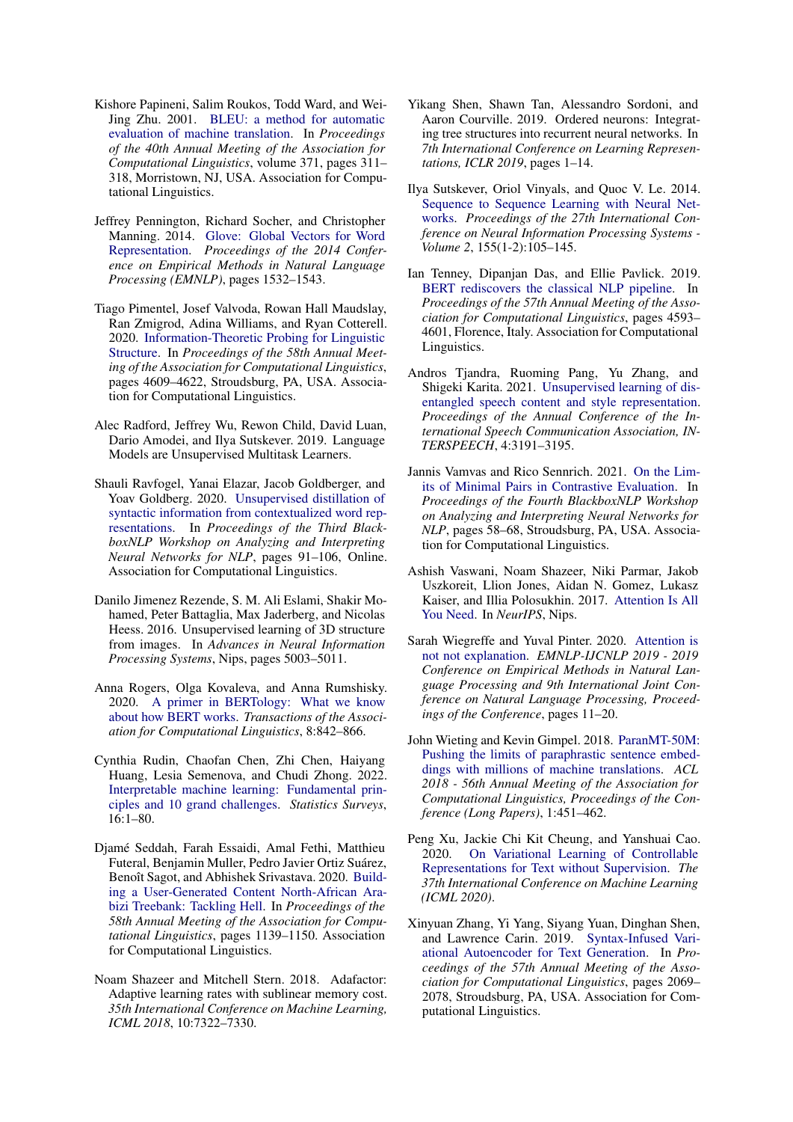- <span id="page-11-18"></span>Kishore Papineni, Salim Roukos, Todd Ward, and Wei-Jing Zhu. 2001. [BLEU: a method for automatic](https://doi.org/10.3115/1073083.1073135) [evaluation of machine translation.](https://doi.org/10.3115/1073083.1073135) In *Proceedings of the 40th Annual Meeting of the Association for Computational Linguistics*, volume 371, pages 311– 318, Morristown, NJ, USA. Association for Computational Linguistics.
- <span id="page-11-17"></span>Jeffrey Pennington, Richard Socher, and Christopher Manning. 2014. [Glove: Global Vectors for Word](https://doi.org/10.3115/v1/D14-1162) [Representation.](https://doi.org/10.3115/v1/D14-1162) *Proceedings of the 2014 Conference on Empirical Methods in Natural Language Processing (EMNLP)*, pages 1532–1543.
- <span id="page-11-7"></span>Tiago Pimentel, Josef Valvoda, Rowan Hall Maudslay, Ran Zmigrod, Adina Williams, and Ryan Cotterell. 2020. [Information-Theoretic Probing for Linguistic](https://doi.org/10.18653/v1/2020.acl-main.420) [Structure.](https://doi.org/10.18653/v1/2020.acl-main.420) In *Proceedings of the 58th Annual Meeting of the Association for Computational Linguistics*, pages 4609–4622, Stroudsburg, PA, USA. Association for Computational Linguistics.
- <span id="page-11-16"></span>Alec Radford, Jeffrey Wu, Rewon Child, David Luan, Dario Amodei, and Ilya Sutskever. 2019. Language Models are Unsupervised Multitask Learners.
- <span id="page-11-11"></span>Shauli Ravfogel, Yanai Elazar, Jacob Goldberger, and Yoav Goldberg. 2020. [Unsupervised distillation of](https://doi.org/10.18653/v1/2020.blackboxnlp-1.9) [syntactic information from contextualized word rep](https://doi.org/10.18653/v1/2020.blackboxnlp-1.9)[resentations.](https://doi.org/10.18653/v1/2020.blackboxnlp-1.9) In *Proceedings of the Third BlackboxNLP Workshop on Analyzing and Interpreting Neural Networks for NLP*, pages 91–106, Online. Association for Computational Linguistics.
- <span id="page-11-12"></span>Danilo Jimenez Rezende, S. M. Ali Eslami, Shakir Mohamed, Peter Battaglia, Max Jaderberg, and Nicolas Heess. 2016. Unsupervised learning of 3D structure from images. In *Advances in Neural Information Processing Systems*, Nips, pages 5003–5011.
- <span id="page-11-5"></span>Anna Rogers, Olga Kovaleva, and Anna Rumshisky. 2020. [A primer in BERTology: What we know](https://doi.org/10.1162/tacl_a_00349) [about how BERT works.](https://doi.org/10.1162/tacl_a_00349) *Transactions of the Association for Computational Linguistics*, 8:842–866.
- <span id="page-11-0"></span>Cynthia Rudin, Chaofan Chen, Zhi Chen, Haiyang Huang, Lesia Semenova, and Chudi Zhong. 2022. [Interpretable machine learning: Fundamental prin](https://doi.org/10.1214/21-SS133)[ciples and 10 grand challenges.](https://doi.org/10.1214/21-SS133) *Statistics Surveys*, 16:1–80.
- <span id="page-11-2"></span>Djamé Seddah, Farah Essaidi, Amal Fethi, Matthieu Futeral, Benjamin Muller, Pedro Javier Ortiz Suárez, Benoît Sagot, and Abhishek Srivastava. 2020. [Build](https://doi.org/10.18653/v1/2020.acl-main.107)[ing a User-Generated Content North-African Ara](https://doi.org/10.18653/v1/2020.acl-main.107)[bizi Treebank: Tackling Hell.](https://doi.org/10.18653/v1/2020.acl-main.107) In *Proceedings of the 58th Annual Meeting of the Association for Computational Linguistics*, pages 1139–1150. Association for Computational Linguistics.
- <span id="page-11-19"></span>Noam Shazeer and Mitchell Stern. 2018. Adafactor: Adaptive learning rates with sublinear memory cost. *35th International Conference on Machine Learning, ICML 2018*, 10:7322–7330.
- <span id="page-11-9"></span>Yikang Shen, Shawn Tan, Alessandro Sordoni, and Aaron Courville. 2019. Ordered neurons: Integrating tree structures into recurrent neural networks. In *7th International Conference on Learning Representations, ICLR 2019*, pages 1–14.
- <span id="page-11-14"></span>Ilya Sutskever, Oriol Vinyals, and Quoc V. Le. 2014. [Sequence to Sequence Learning with Neural Net](https://doi.org/10.5555/2969033.2969173)[works.](https://doi.org/10.5555/2969033.2969173) *Proceedings of the 27th International Conference on Neural Information Processing Systems - Volume 2*, 155(1-2):105–145.
- <span id="page-11-4"></span>Ian Tenney, Dipanjan Das, and Ellie Pavlick. 2019. [BERT rediscovers the classical NLP pipeline.](https://doi.org/10.18653/v1/P19-1452) In *Proceedings of the 57th Annual Meeting of the Association for Computational Linguistics*, pages 4593– 4601, Florence, Italy. Association for Computational Linguistics.
- <span id="page-11-13"></span>Andros Tjandra, Ruoming Pang, Yu Zhang, and Shigeki Karita. 2021. [Unsupervised learning of dis](https://doi.org/10.21437/Interspeech.2021-1936)[entangled speech content and style representation.](https://doi.org/10.21437/Interspeech.2021-1936) *Proceedings of the Annual Conference of the International Speech Communication Association, IN-TERSPEECH*, 4:3191–3195.
- <span id="page-11-8"></span>Jannis Vamvas and Rico Sennrich. 2021. [On the Lim](https://doi.org/10.18653/v1/2021.blackboxnlp-1.5)[its of Minimal Pairs in Contrastive Evaluation.](https://doi.org/10.18653/v1/2021.blackboxnlp-1.5) In *Proceedings of the Fourth BlackboxNLP Workshop on Analyzing and Interpreting Neural Networks for NLP*, pages 58–68, Stroudsburg, PA, USA. Association for Computational Linguistics.
- <span id="page-11-3"></span>Ashish Vaswani, Noam Shazeer, Niki Parmar, Jakob Uszkoreit, Llion Jones, Aidan N. Gomez, Lukasz Kaiser, and Illia Polosukhin. 2017. [Attention Is All](https://doi.org/10.1017/S0952523813000308) [You Need.](https://doi.org/10.1017/S0952523813000308) In *NeurIPS*, Nips.
- <span id="page-11-6"></span>Sarah Wiegreffe and Yuval Pinter. 2020. [Attention is](https://doi.org/10.18653/v1/d19-1002) [not not explanation.](https://doi.org/10.18653/v1/d19-1002) *EMNLP-IJCNLP 2019 - 2019 Conference on Empirical Methods in Natural Language Processing and 9th International Joint Conference on Natural Language Processing, Proceedings of the Conference*, pages 11–20.
- <span id="page-11-15"></span>John Wieting and Kevin Gimpel. 2018. [ParanMT-50M:](https://doi.org/10.18653/v1/p18-1042) [Pushing the limits of paraphrastic sentence embed](https://doi.org/10.18653/v1/p18-1042)[dings with millions of machine translations.](https://doi.org/10.18653/v1/p18-1042) *ACL 2018 - 56th Annual Meeting of the Association for Computational Linguistics, Proceedings of the Conference (Long Papers)*, 1:451–462.
- <span id="page-11-10"></span>Peng Xu, Jackie Chi Kit Cheung, and Yanshuai Cao. 2020. [On Variational Learning of Controllable](http://arxiv.org/abs/1905.11975) [Representations for Text without Supervision.](http://arxiv.org/abs/1905.11975) *The 37th International Conference on Machine Learning (ICML 2020)*.
- <span id="page-11-1"></span>Xinyuan Zhang, Yi Yang, Siyang Yuan, Dinghan Shen, and Lawrence Carin. 2019. [Syntax-Infused Vari](https://doi.org/10.18653/v1/P19-1199)[ational Autoencoder for Text Generation.](https://doi.org/10.18653/v1/P19-1199) In *Proceedings of the 57th Annual Meeting of the Association for Computational Linguistics*, pages 2069– 2078, Stroudsburg, PA, USA. Association for Computational Linguistics.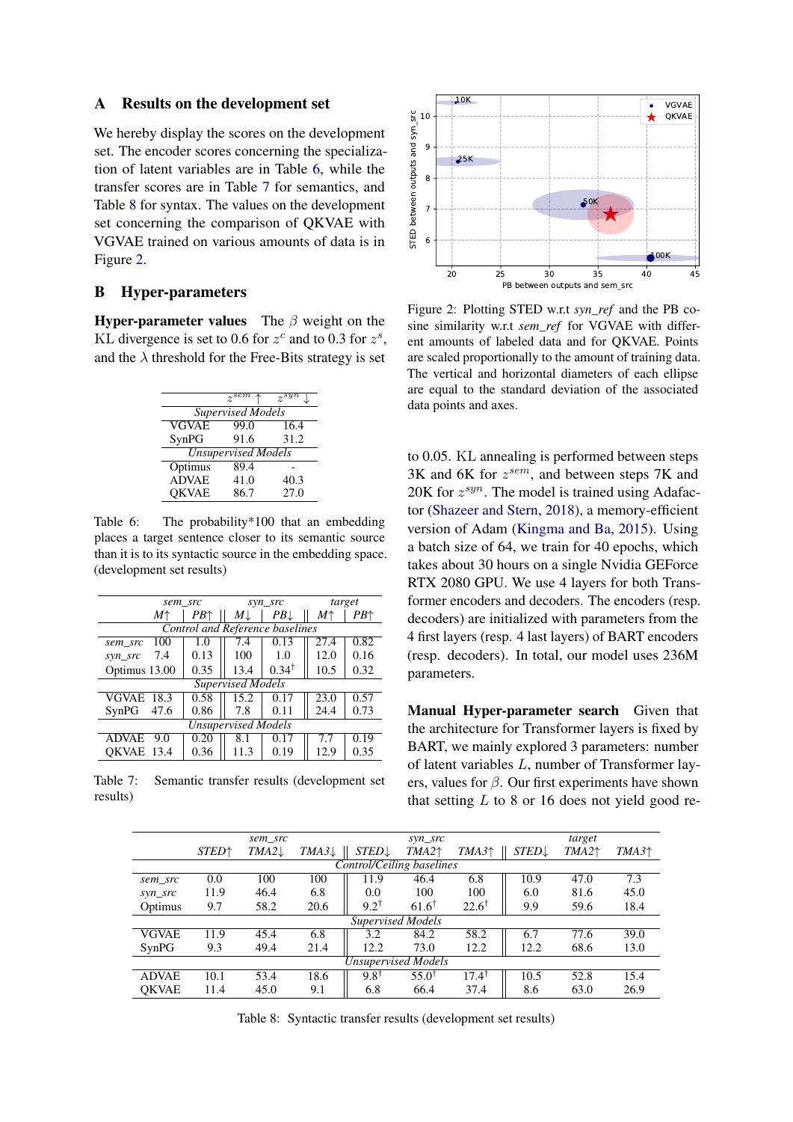#### <span id="page-12-0"></span>A Results on the development set

We hereby display the scores on the development set. The encoder scores concerning the specialization of latent variables are in Table [6,](#page-12-2) while the transfer scores are in Table [7](#page-12-3) for semantics, and Table [8](#page-12-4) for syntax. The values on the development set concerning the comparison of QKVAE with VGVAE trained on various amounts of data is in Figure [2.](#page-12-5)

# <span id="page-12-1"></span>B Hyper-parameters

**Hyper-parameter values** The  $\beta$  weight on the KL divergence is set to 0.6 for  $z^c$  and to 0.3 for  $z^s$ , and the  $\lambda$  threshold for the Free-Bits strategy is set

<span id="page-12-2"></span>

|                            | $z^{sem} \uparrow$ | $z^{syn}$ |  |  |  |  |  |  |
|----------------------------|--------------------|-----------|--|--|--|--|--|--|
| <b>Supervised Models</b>   |                    |           |  |  |  |  |  |  |
| <b>VGVAE</b>               | 99.0               | 16.4      |  |  |  |  |  |  |
| SynPG                      | 91.6               | 31.2      |  |  |  |  |  |  |
| <b>Unsupervised Models</b> |                    |           |  |  |  |  |  |  |
| Optimus                    | 89.4               |           |  |  |  |  |  |  |
| <b>ADVAE</b>               | 41.0               | 40.3      |  |  |  |  |  |  |
| <b>OKVAE</b>               | 86.7               | 27.0      |  |  |  |  |  |  |

Table 6: The probability \*100 that an embedding places a target sentence closer to its semantic source than it is to its syntactic source in the embedding space. (development set results)

<span id="page-12-3"></span>

|                            | sem src                                |                          | syn_src          | target |              |  |  |  |  |  |
|----------------------------|----------------------------------------|--------------------------|------------------|--------|--------------|--|--|--|--|--|
| $M\uparrow$                | PB↑                                    | $M\downarrow$            | PB               | M↑     | $PB\uparrow$ |  |  |  |  |  |
|                            | <b>Control and Reference baselines</b> |                          |                  |        |              |  |  |  |  |  |
| 100<br>sem src             | 1.0                                    | 7.4                      | 0.13             | 27.4   | 0.82         |  |  |  |  |  |
| 7.4<br>syn_src             | 0.13                                   | 100                      | 1.0              | 12.0   | 0.16         |  |  |  |  |  |
| Optimus 13.00              | 0.35                                   | 13.4                     | $0.34^{\dagger}$ | 10.5   | 0.32         |  |  |  |  |  |
|                            |                                        | <b>Supervised Models</b> |                  |        |              |  |  |  |  |  |
| <b>VGVAE</b><br>18.3       | 0.58                                   | 15.2                     | 0.17             | 23.0   | 0.57         |  |  |  |  |  |
| SynPG<br>47.6              | 0.86                                   | 7.8                      | 0.11             | 24.4   | 0.73         |  |  |  |  |  |
| <b>Unsupervised Models</b> |                                        |                          |                  |        |              |  |  |  |  |  |
| <b>ADVAE</b><br>9.0        | 0.20                                   | 8.1                      | 0.17             | 7.7    | 0.19         |  |  |  |  |  |
| OKVAE<br>13.4              | 0.36                                   | 11.3                     | 0.19             | 12.9   | 0.35         |  |  |  |  |  |

Table 7: Semantic transfer results (development set results)

<span id="page-12-5"></span>

Figure 2: Plotting STED w.r.t *syn\_ref* and the PB cosine similarity w.r.t *sem\_ref* for VGVAE with different amounts of labeled data and for QKVAE. Points are scaled proportionally to the amount of training data. The vertical and horizontal diameters of each ellipse are equal to the standard deviation of the associated data points and axes.

to 0.05. KL annealing is performed between steps  $3K$  and  $6K$  for  $z^{sem}$ , and between steps 7K and 20K for  $z^{syn}$ . The model is trained using Adafactor [\(Shazeer and Stern,](#page-11-19) [2018\)](#page-11-19), a memory-efficient version of Adam [\(Kingma and Ba,](#page-10-17) [2015\)](#page-10-17). Using a batch size of 64, we train for 40 epochs, which takes about 30 hours on a single Nvidia GEForce RTX 2080 GPU. We use 4 layers for both Transformer encoders and decoders. The encoders (resp. decoders) are initialized with parameters from the 4 first layers (resp. 4 last layers) of BART encoders (resp. decoders). In total, our model uses 236M parameters.

Manual Hyper-parameter search Given that the architecture for Transformer layers is fixed by BART, we mainly explored 3 parameters: number of latent variables L, number of Transformer layers, values for  $\beta$ . Our first experiments have shown that setting  $L$  to 8 or 16 does not yield good re-

<span id="page-12-4"></span>

|                            |                          | sem_src           |                  | syn_src                  |                  |                  | target           |          |         |
|----------------------------|--------------------------|-------------------|------------------|--------------------------|------------------|------------------|------------------|----------|---------|
|                            | <b>STED</b> <sup>+</sup> | $TMA2 \downarrow$ | $TMA3\downarrow$ | <b>STED</b>              | $TMA2^+$         | $TMA3+$          | $STED\downarrow$ | $TMA2^+$ | $TMA3+$ |
| Control/Ceiling baselines  |                          |                   |                  |                          |                  |                  |                  |          |         |
| sem src                    | 0.0                      | 100               | 100              | 11.9                     | 46.4             | 6.8              | 10.9             | 47.0     | 7.3     |
| syn_src                    | 11.9                     | 46.4              | 6.8              | 0.0                      | 100              | 100              | 6.0              | 81.6     | 45.0    |
| Optimus                    | 9.7                      | 58.2              | 20.6             | $9.2^{\dagger}$          | $61.6^{\dagger}$ | $22.6^{\dagger}$ | 9.9              | 59.6     | 18.4    |
|                            |                          |                   |                  | <b>Supervised Models</b> |                  |                  |                  |          |         |
| <b>VGVAE</b>               | 11.9                     | 45.4              | 6.8              | 3.2                      | 84.2             | 58.2             | 6.7              | 77.6     | 39.0    |
| SynPG                      | 9.3                      | 49.4              | 21.4             | 12.2                     | 73.0             | 12.2             | 12.2             | 68.6     | 13.0    |
| <b>Unsupervised Models</b> |                          |                   |                  |                          |                  |                  |                  |          |         |
| <b>ADVAE</b>               | 10.1                     | 53.4              | 18.6             | $9.8^{\dagger}$          | $55.0^{\dagger}$ | $17.4^{\dagger}$ | 10.5             | 52.8     | 15.4    |
| <b>OKVAE</b>               | 11.4                     | 45.0              | 9.1              | 6.8                      | 66.4             | 37.4             | 8.6              | 63.0     | 26.9    |

Table 8: Syntactic transfer results (development set results)